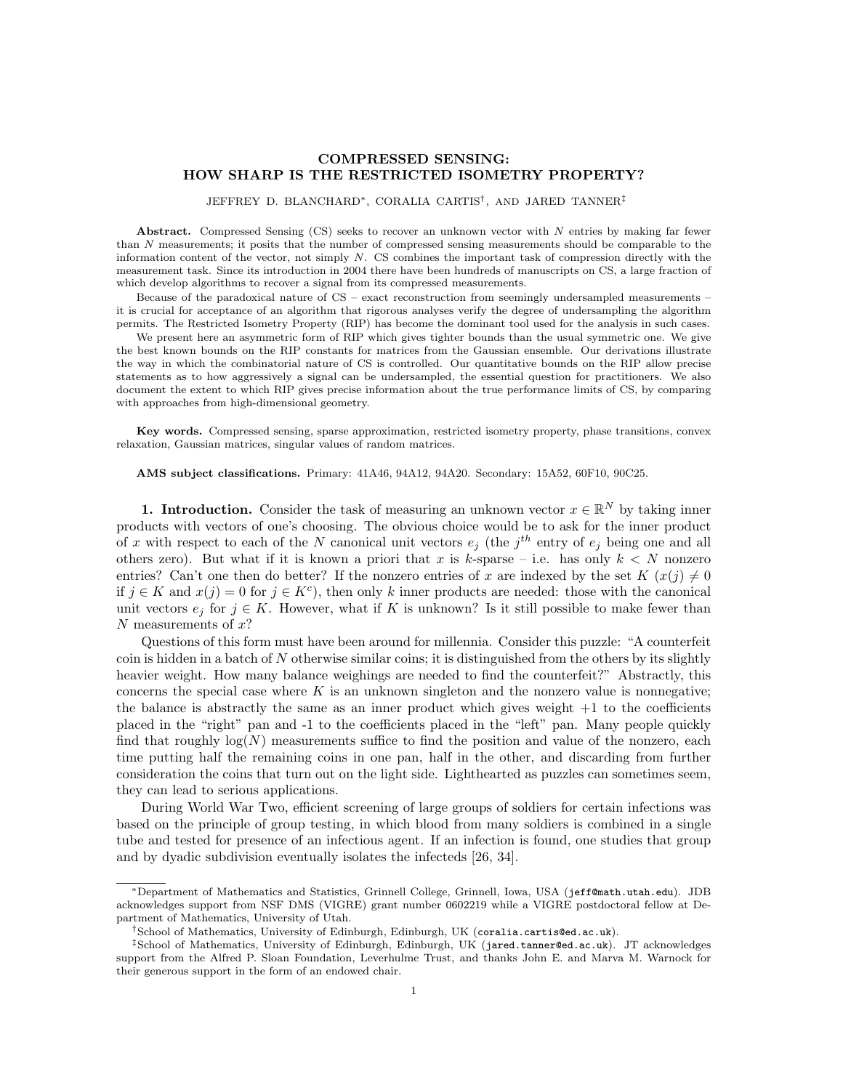## COMPRESSED SENSING: HOW SHARP IS THE RESTRICTED ISOMETRY PROPERTY?

## JEFFREY D. BLANCHARD∗, CORALIA CARTIS† , AND JARED TANNER‡

Abstract. Compressed Sensing (CS) seeks to recover an unknown vector with N entries by making far fewer than N measurements; it posits that the number of compressed sensing measurements should be comparable to the information content of the vector, not simply N. CS combines the important task of compression directly with the measurement task. Since its introduction in 2004 there have been hundreds of manuscripts on CS, a large fraction of which develop algorithms to recover a signal from its compressed measurements.

Because of the paradoxical nature of CS – exact reconstruction from seemingly undersampled measurements – it is crucial for acceptance of an algorithm that rigorous analyses verify the degree of undersampling the algorithm permits. The Restricted Isometry Property (RIP) has become the dominant tool used for the analysis in such cases.

We present here an asymmetric form of RIP which gives tighter bounds than the usual symmetric one. We give the best known bounds on the RIP constants for matrices from the Gaussian ensemble. Our derivations illustrate the way in which the combinatorial nature of CS is controlled. Our quantitative bounds on the RIP allow precise statements as to how aggressively a signal can be undersampled, the essential question for practitioners. We also document the extent to which RIP gives precise information about the true performance limits of CS, by comparing with approaches from high-dimensional geometry.

Key words. Compressed sensing, sparse approximation, restricted isometry property, phase transitions, convex relaxation, Gaussian matrices, singular values of random matrices.

AMS subject classifications. Primary: 41A46, 94A12, 94A20. Secondary: 15A52, 60F10, 90C25.

**1. Introduction.** Consider the task of measuring an unknown vector  $x \in \mathbb{R}^N$  by taking inner products with vectors of one's choosing. The obvious choice would be to ask for the inner product of x with respect to each of the N canonical unit vectors  $e_j$  (the  $j^{th}$  entry of  $e_j$  being one and all others zero). But what if it is known a priori that x is k-sparse – i.e. has only  $k < N$  nonzero entries? Can't one then do better? If the nonzero entries of x are indexed by the set  $K(x(j) \neq 0$ if  $j \in K$  and  $x(j) = 0$  for  $j \in K^c$ , then only k inner products are needed: those with the canonical unit vectors  $e_j$  for  $j \in K$ . However, what if K is unknown? Is it still possible to make fewer than  $N$  measurements of  $x$ ?

Questions of this form must have been around for millennia. Consider this puzzle: "A counterfeit coin is hidden in a batch of  $N$  otherwise similar coins; it is distinguished from the others by its slightly heavier weight. How many balance weighings are needed to find the counterfeit?" Abstractly, this concerns the special case where  $K$  is an unknown singleton and the nonzero value is nonnegative; the balance is abstractly the same as an inner product which gives weight  $+1$  to the coefficients placed in the "right" pan and -1 to the coefficients placed in the "left" pan. Many people quickly find that roughly  $log(N)$  measurements suffice to find the position and value of the nonzero, each time putting half the remaining coins in one pan, half in the other, and discarding from further consideration the coins that turn out on the light side. Lighthearted as puzzles can sometimes seem, they can lead to serious applications.

During World War Two, efficient screening of large groups of soldiers for certain infections was based on the principle of group testing, in which blood from many soldiers is combined in a single tube and tested for presence of an infectious agent. If an infection is found, one studies that group and by dyadic subdivision eventually isolates the infecteds [26, 34].

<sup>∗</sup>Department of Mathematics and Statistics, Grinnell College, Grinnell, Iowa, USA (jeff@math.utah.edu). JDB acknowledges support from NSF DMS (VIGRE) grant number 0602219 while a VIGRE postdoctoral fellow at Department of Mathematics, University of Utah.

<sup>†</sup>School of Mathematics, University of Edinburgh, Edinburgh, UK (coralia.cartis@ed.ac.uk).

<sup>‡</sup>School of Mathematics, University of Edinburgh, Edinburgh, UK (jared.tanner@ed.ac.uk). JT acknowledges support from the Alfred P. Sloan Foundation, Leverhulme Trust, and thanks John E. and Marva M. Warnock for their generous support in the form of an endowed chair.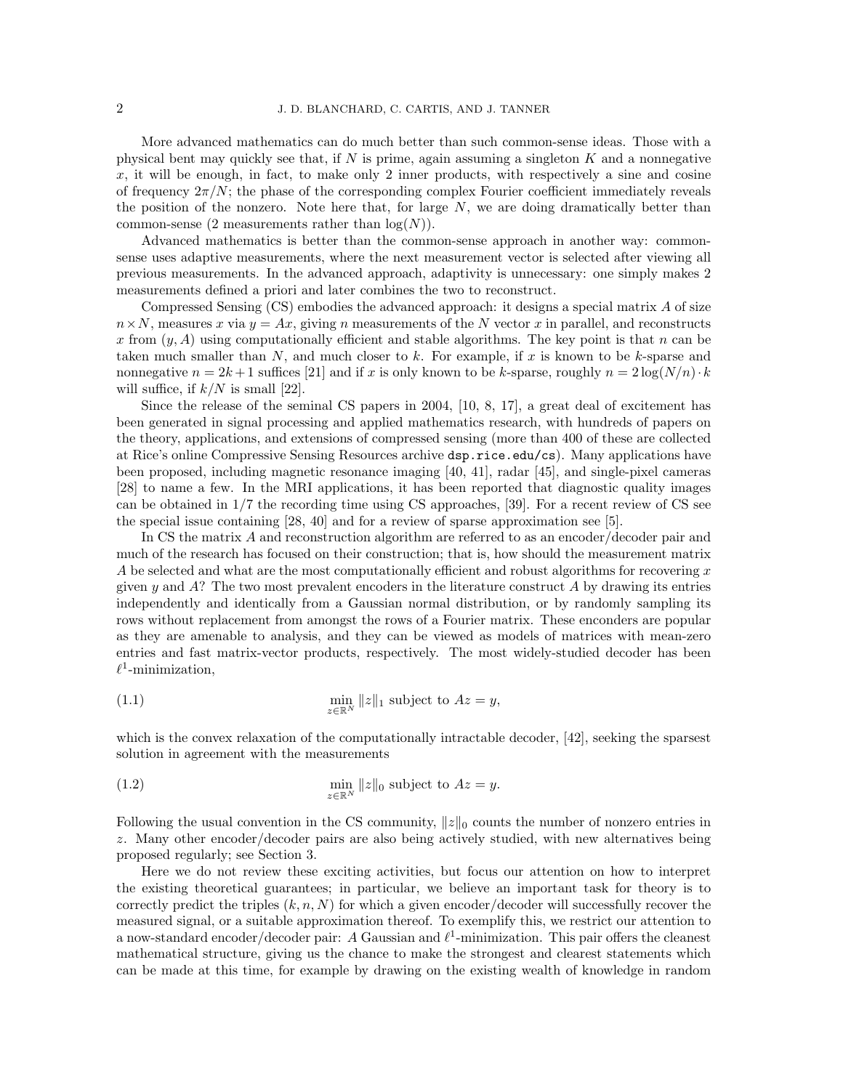More advanced mathematics can do much better than such common-sense ideas. Those with a physical bent may quickly see that, if  $N$  is prime, again assuming a singleton  $K$  and a nonnegative  $x$ , it will be enough, in fact, to make only 2 inner products, with respectively a sine and cosine of frequency  $2\pi/N$ ; the phase of the corresponding complex Fourier coefficient immediately reveals the position of the nonzero. Note here that, for large  $N$ , we are doing dramatically better than common-sense (2 measurements rather than  $log(N)$ ).

Advanced mathematics is better than the common-sense approach in another way: commonsense uses adaptive measurements, where the next measurement vector is selected after viewing all previous measurements. In the advanced approach, adaptivity is unnecessary: one simply makes 2 measurements defined a priori and later combines the two to reconstruct.

Compressed Sensing (CS) embodies the advanced approach: it designs a special matrix A of size  $n \times N$ , measures x via  $y = Ax$ , giving n measurements of the N vector x in parallel, and reconstructs x from  $(y, A)$  using computationally efficient and stable algorithms. The key point is that n can be taken much smaller than  $N$ , and much closer to k. For example, if x is known to be k-sparse and nonnegative  $n = 2k + 1$  suffices [21] and if x is only known to be k-sparse, roughly  $n = 2\log(N/n) \cdot k$ will suffice, if  $k/N$  is small [22].

Since the release of the seminal CS papers in 2004, [10, 8, 17], a great deal of excitement has been generated in signal processing and applied mathematics research, with hundreds of papers on the theory, applications, and extensions of compressed sensing (more than 400 of these are collected at Rice's online Compressive Sensing Resources archive dsp.rice.edu/cs). Many applications have been proposed, including magnetic resonance imaging [40, 41], radar [45], and single-pixel cameras [28] to name a few. In the MRI applications, it has been reported that diagnostic quality images can be obtained in 1/7 the recording time using CS approaches, [39]. For a recent review of CS see the special issue containing [28, 40] and for a review of sparse approximation see [5].

In CS the matrix A and reconstruction algorithm are referred to as an encoder/decoder pair and much of the research has focused on their construction; that is, how should the measurement matrix A be selected and what are the most computationally efficient and robust algorithms for recovering  $x$ given y and  $\hat{A}$ ? The two most prevalent encoders in the literature construct  $\hat{A}$  by drawing its entries independently and identically from a Gaussian normal distribution, or by randomly sampling its rows without replacement from amongst the rows of a Fourier matrix. These enconders are popular as they are amenable to analysis, and they can be viewed as models of matrices with mean-zero entries and fast matrix-vector products, respectively. The most widely-studied decoder has been  $\ell^1$ -minimization,

(1.1) 
$$
\min_{z \in \mathbb{R}^N} ||z||_1 \text{ subject to } Az = y,
$$

which is the convex relaxation of the computationally intractable decoder, [42], seeking the sparsest solution in agreement with the measurements

(1.2) 
$$
\min_{z \in \mathbb{R}^N} ||z||_0 \text{ subject to } Az = y.
$$

Following the usual convention in the CS community,  $||z||_0$  counts the number of nonzero entries in z. Many other encoder/decoder pairs are also being actively studied, with new alternatives being proposed regularly; see Section 3.

Here we do not review these exciting activities, but focus our attention on how to interpret the existing theoretical guarantees; in particular, we believe an important task for theory is to correctly predict the triples  $(k, n, N)$  for which a given encoder/decoder will successfully recover the measured signal, or a suitable approximation thereof. To exemplify this, we restrict our attention to a now-standard encoder/decoder pair: A Gaussian and  $\ell^1$ -minimization. This pair offers the cleanest mathematical structure, giving us the chance to make the strongest and clearest statements which can be made at this time, for example by drawing on the existing wealth of knowledge in random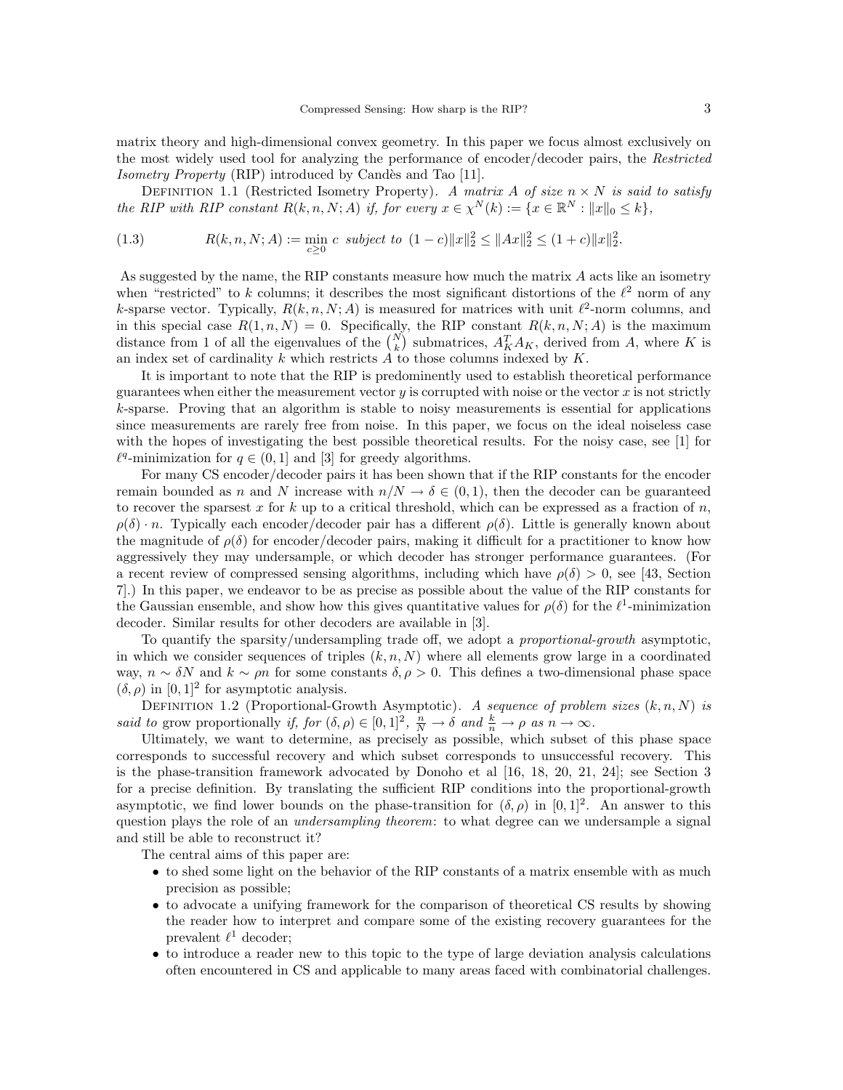matrix theory and high-dimensional convex geometry. In this paper we focus almost exclusively on the most widely used tool for analyzing the performance of encoder/decoder pairs, the Restricted Isometry Property (RIP) introduced by Candès and Tao [11].

DEFINITION 1.1 (Restricted Isometry Property). A matrix A of size  $n \times N$  is said to satisfy the RIP with RIP constant  $R(k, n, N; A)$  if, for every  $x \in \chi^N(k) := \{x \in \mathbb{R}^N : ||x||_0 \le k\},\$ 

(1.3) 
$$
R(k, n, N; A) := \min_{c \ge 0} c \ \ subject \ to \ \ (1 - c) \|x\|_2^2 \le \|Ax\|_2^2 \le (1 + c) \|x\|_2^2.
$$

As suggested by the name, the RIP constants measure how much the matrix  $A$  acts like an isometry when "restricted" to k columns; it describes the most significant distortions of the  $\ell^2$  norm of any k-sparse vector. Typically,  $R(k, n, N; A)$  is measured for matrices with unit  $\ell^2$ -norm columns, and in this special case  $R(1, n, N) = 0$ . Specifically, the RIP constant  $R(k, n, N; A)$  is the maximum distance from 1 of all the eigenvalues of the  $\binom{N}{k}$  submatrices,  $A_K^T A_K$ , derived from A, where K is an index set of cardinality  $k$  which restricts  $A$  to those columns indexed by  $K$ .

It is important to note that the RIP is predominently used to establish theoretical performance guarantees when either the measurement vector  $y$  is corrupted with noise or the vector  $x$  is not strictly k-sparse. Proving that an algorithm is stable to noisy measurements is essential for applications since measurements are rarely free from noise. In this paper, we focus on the ideal noiseless case with the hopes of investigating the best possible theoretical results. For the noisy case, see [1] for  $\ell^q$ -minimization for  $q \in (0, 1]$  and [3] for greedy algorithms.

For many CS encoder/decoder pairs it has been shown that if the RIP constants for the encoder remain bounded as n and N increase with  $n/N \to \delta \in (0,1)$ , then the decoder can be guaranteed to recover the sparsest x for k up to a critical threshold, which can be expressed as a fraction of  $n$ ,  $\rho(\delta) \cdot n$ . Typically each encoder/decoder pair has a different  $\rho(\delta)$ . Little is generally known about the magnitude of  $\rho(\delta)$  for encoder/decoder pairs, making it difficult for a practitioner to know how aggressively they may undersample, or which decoder has stronger performance guarantees. (For a recent review of compressed sensing algorithms, including which have  $\rho(\delta) > 0$ , see [43, Section 7].) In this paper, we endeavor to be as precise as possible about the value of the RIP constants for the Gaussian ensemble, and show how this gives quantitative values for  $\rho(\delta)$  for the  $\ell^1$ -minimization decoder. Similar results for other decoders are available in [3].

To quantify the sparsity/undersampling trade off, we adopt a *proportional-growth* asymptotic, in which we consider sequences of triples  $(k, n, N)$  where all elements grow large in a coordinated way,  $n \sim \delta N$  and  $k \sim \rho n$  for some constants  $\delta, \rho > 0$ . This defines a two-dimensional phase space  $(\delta, \rho)$  in  $[0, 1]^2$  for asymptotic analysis.

DEFINITION 1.2 (Proportional-Growth Asymptotic). A sequence of problem sizes  $(k, n, N)$  is said to grow proportionally if, for  $(\delta, \rho) \in [0, 1]^2$ ,  $\frac{n}{N} \to \delta$  and  $\frac{k}{n} \to \rho$  as  $n \to \infty$ .

Ultimately, we want to determine, as precisely as possible, which subset of this phase space corresponds to successful recovery and which subset corresponds to unsuccessful recovery. This is the phase-transition framework advocated by Donoho et al [16, 18, 20, 21, 24]; see Section 3 for a precise definition. By translating the sufficient RIP conditions into the proportional-growth asymptotic, we find lower bounds on the phase-transition for  $(\delta, \rho)$  in  $[0, 1]^2$ . An answer to this question plays the role of an *undersampling theorem*: to what degree can we undersample a signal and still be able to reconstruct it?

The central aims of this paper are:

- to shed some light on the behavior of the RIP constants of a matrix ensemble with as much precision as possible;
- to advocate a unifying framework for the comparison of theoretical CS results by showing the reader how to interpret and compare some of the existing recovery guarantees for the prevalent  $\ell^1$  decoder;
- to introduce a reader new to this topic to the type of large deviation analysis calculations often encountered in CS and applicable to many areas faced with combinatorial challenges.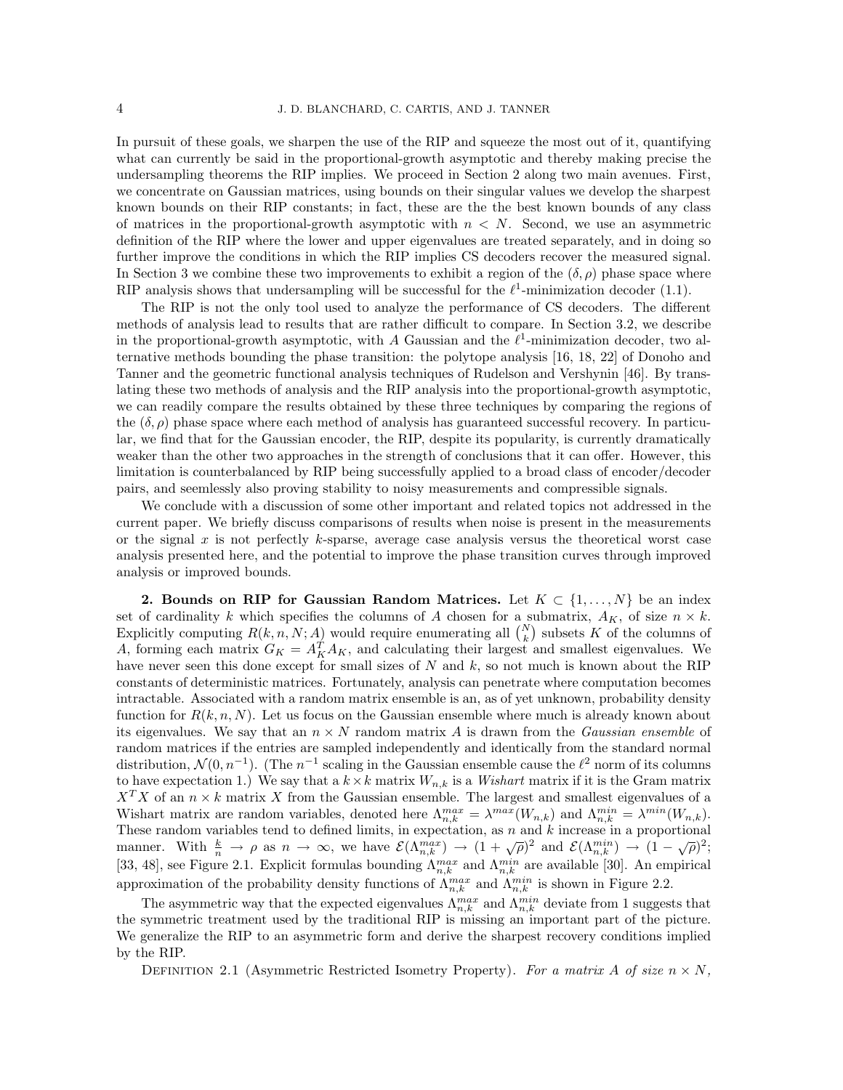In pursuit of these goals, we sharpen the use of the RIP and squeeze the most out of it, quantifying what can currently be said in the proportional-growth asymptotic and thereby making precise the undersampling theorems the RIP implies. We proceed in Section 2 along two main avenues. First, we concentrate on Gaussian matrices, using bounds on their singular values we develop the sharpest known bounds on their RIP constants; in fact, these are the the best known bounds of any class of matrices in the proportional-growth asymptotic with  $n < N$ . Second, we use an asymmetric definition of the RIP where the lower and upper eigenvalues are treated separately, and in doing so further improve the conditions in which the RIP implies CS decoders recover the measured signal. In Section 3 we combine these two improvements to exhibit a region of the  $(\delta, \rho)$  phase space where RIP analysis shows that undersampling will be successful for the  $\ell^1$ -minimization decoder (1.1).

The RIP is not the only tool used to analyze the performance of CS decoders. The different methods of analysis lead to results that are rather difficult to compare. In Section 3.2, we describe in the proportional-growth asymptotic, with A Gaussian and the  $\ell^1$ -minimization decoder, two alternative methods bounding the phase transition: the polytope analysis [16, 18, 22] of Donoho and Tanner and the geometric functional analysis techniques of Rudelson and Vershynin [46]. By translating these two methods of analysis and the RIP analysis into the proportional-growth asymptotic, we can readily compare the results obtained by these three techniques by comparing the regions of the  $(\delta, \rho)$  phase space where each method of analysis has guaranteed successful recovery. In particular, we find that for the Gaussian encoder, the RIP, despite its popularity, is currently dramatically weaker than the other two approaches in the strength of conclusions that it can offer. However, this limitation is counterbalanced by RIP being successfully applied to a broad class of encoder/decoder pairs, and seemlessly also proving stability to noisy measurements and compressible signals.

We conclude with a discussion of some other important and related topics not addressed in the current paper. We briefly discuss comparisons of results when noise is present in the measurements or the signal  $x$  is not perfectly  $k$ -sparse, average case analysis versus the theoretical worst case analysis presented here, and the potential to improve the phase transition curves through improved analysis or improved bounds.

2. Bounds on RIP for Gaussian Random Matrices. Let  $K \subset \{1, \ldots, N\}$  be an index set of cardinality k which specifies the columns of A chosen for a submatrix,  $A_K$ , of size  $n \times k$ . Explicitly computing  $R(k, n, N; A)$  would require enumerating all  $\binom{N}{k}$  subsets K of the columns of A, forming each matrix  $G_K = A_K^T A_K$ , and calculating their largest and smallest eigenvalues. We have never seen this done except for small sizes of  $N$  and  $k$ , so not much is known about the RIP constants of deterministic matrices. Fortunately, analysis can penetrate where computation becomes intractable. Associated with a random matrix ensemble is an, as of yet unknown, probability density function for  $R(k, n, N)$ . Let us focus on the Gaussian ensemble where much is already known about its eigenvalues. We say that an  $n \times N$  random matrix A is drawn from the *Gaussian ensemble* of random matrices if the entries are sampled independently and identically from the standard normal distribution,  $\mathcal{N}(0, n^{-1})$ . (The  $n^{-1}$  scaling in the Gaussian ensemble cause the  $\ell^2$  norm of its columns to have expectation 1.) We say that a  $k \times k$  matrix  $W_{n,k}$  is a *Wishart* matrix if it is the Gram matrix  $X<sup>T</sup>X$  of an  $n \times k$  matrix X from the Gaussian ensemble. The largest and smallest eigenvalues of a Wishart matrix are random variables, denoted here  $\Lambda_{n,k}^{max} = \lambda^{max}(W_{n,k})$  and  $\Lambda_{n,k}^{min} = \lambda^{min}(W_{n,k})$ . These random variables tend to defined limits, in expectation, as  $n$  and  $k$  increase in a proportional These random variables tend to defined mints, in expectation, as *n* and *k* increase in a proportional manner. With  $\frac{k}{n} \to \rho$  as  $n \to \infty$ , we have  $\mathcal{E}(\Lambda_{n,k}^{max}) \to (1 + \sqrt{\rho})^2$  and  $\mathcal{E}(\Lambda_{n,k}^{min}) \to (1 - \sqrt{\rho})^2$ ; [33, 48], see Figure 2.1. Explicit formulas bounding  $\Lambda_{n,k}^{max}$  and  $\Lambda_{n,k}^{min}$  are available [30]. An empirical approximation of the probability density functions of  $\Lambda_{n,k}^{max}$  and  $\Lambda_{n,k}^{min}$  is shown in Figure 2.2.

The asymmetric way that the expected eigenvalues  $\Lambda_{n,k}^{max}$  and  $\Lambda_{n,k}^{min}$  deviate from 1 suggests that the symmetric treatment used by the traditional RIP is missing an important part of the picture. We generalize the RIP to an asymmetric form and derive the sharpest recovery conditions implied by the RIP.

DEFINITION 2.1 (Asymmetric Restricted Isometry Property). For a matrix A of size  $n \times N$ ,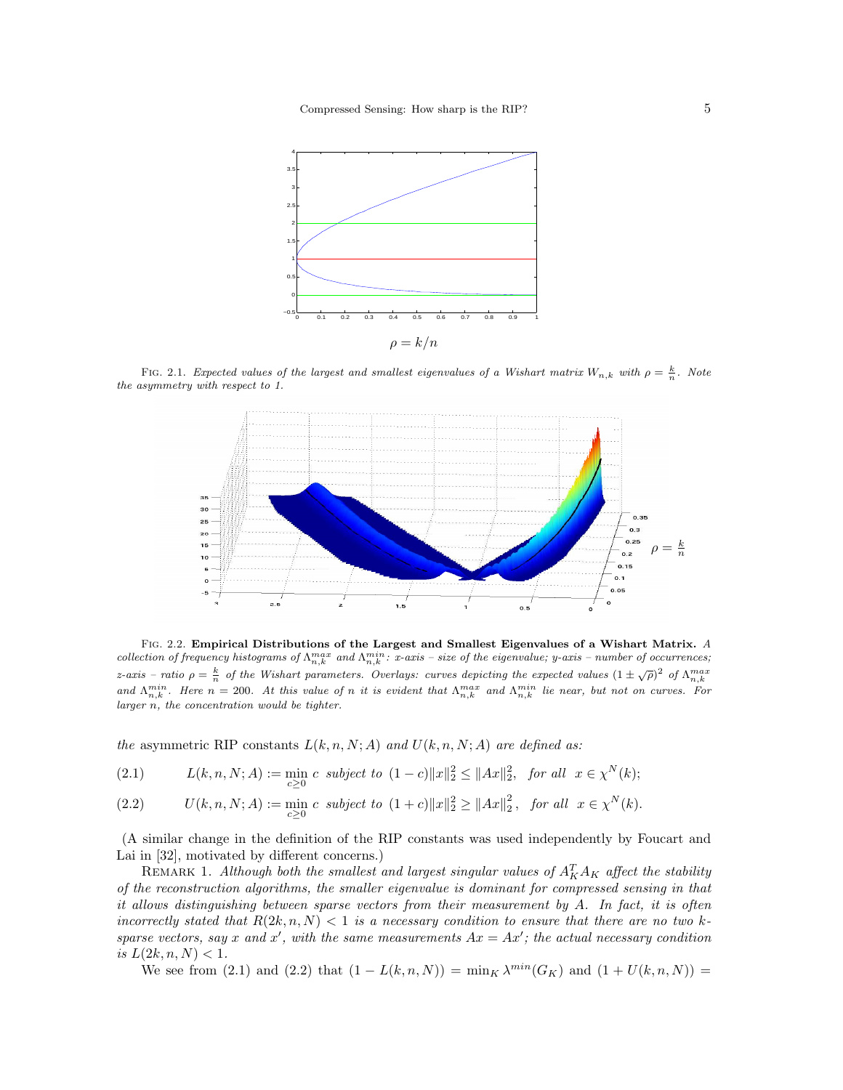

FIG. 2.1. Expected values of the largest and smallest eigenvalues of a Wishart matrix  $W_{n,k}$  with  $\rho = \frac{k}{n}$ . Note the asymmetry with respect to 1.



FIG. 2.2. Empirical Distributions of the Largest and Smallest Eigenvalues of a Wishart Matrix. A collection of frequency histograms of  $\Lambda_{n,k}^{max}$  and  $\Lambda_{n,k}^{min}$ : x-axis – size of the eigenvalue; y-axis – number of occurrences; z-axis – ratio  $\rho = \frac{k}{n}$  of the Wishart parameters. Overlays: curves depicting the expected values  $(1 \pm \sqrt{\rho})^2$  of  $\Lambda_{n,k}^{max}$ <br>and  $\Lambda_{n,k}^{min}$ . Here  $n = 200$ . At this value of n it is evident that  $\Lambda_{n,k}^{max}$  and  $\Lambda_{n$ larger n, the concentration would be tighter.

the asymmetric RIP constants  $L(k, n, N; A)$  and  $U(k, n, N; A)$  are defined as:

(2.1) 
$$
L(k, n, N; A) := \min_{c \ge 0} c \ \ subject \ to \ (1 - c) \|x\|_2^2 \le \|Ax\|_2^2, \ \ for \ all \ \ x \in \chi^N(k);
$$

(2.2) 
$$
U(k, n, N; A) := \min_{c \geq 0} c \text{ subject to } (1+c) \|x\|_2^2 \geq \|Ax\|_2^2, \text{ for all } x \in \chi^N(k).
$$

(A similar change in the definition of the RIP constants was used independently by Foucart and Lai in [32], motivated by different concerns.)

REMARK 1. Although both the smallest and largest singular values of  $A_K^T A_K$  affect the stability of the reconstruction algorithms, the smaller eigenvalue is dominant for compressed sensing in that it allows distinguishing between sparse vectors from their measurement by A. In fact, it is often incorrectly stated that  $R(2k, n, N) < 1$  is a necessary condition to ensure that there are no two ksparse vectors, say x and x', with the same measurements  $Ax = Ax'$ ; the actual necessary condition is  $L(2k, n, N) < 1$ .

We see from (2.1) and (2.2) that  $(1 - L(k, n, N)) = \min_{K} \lambda^{min}(G_K)$  and  $(1 + U(k, n, N)) =$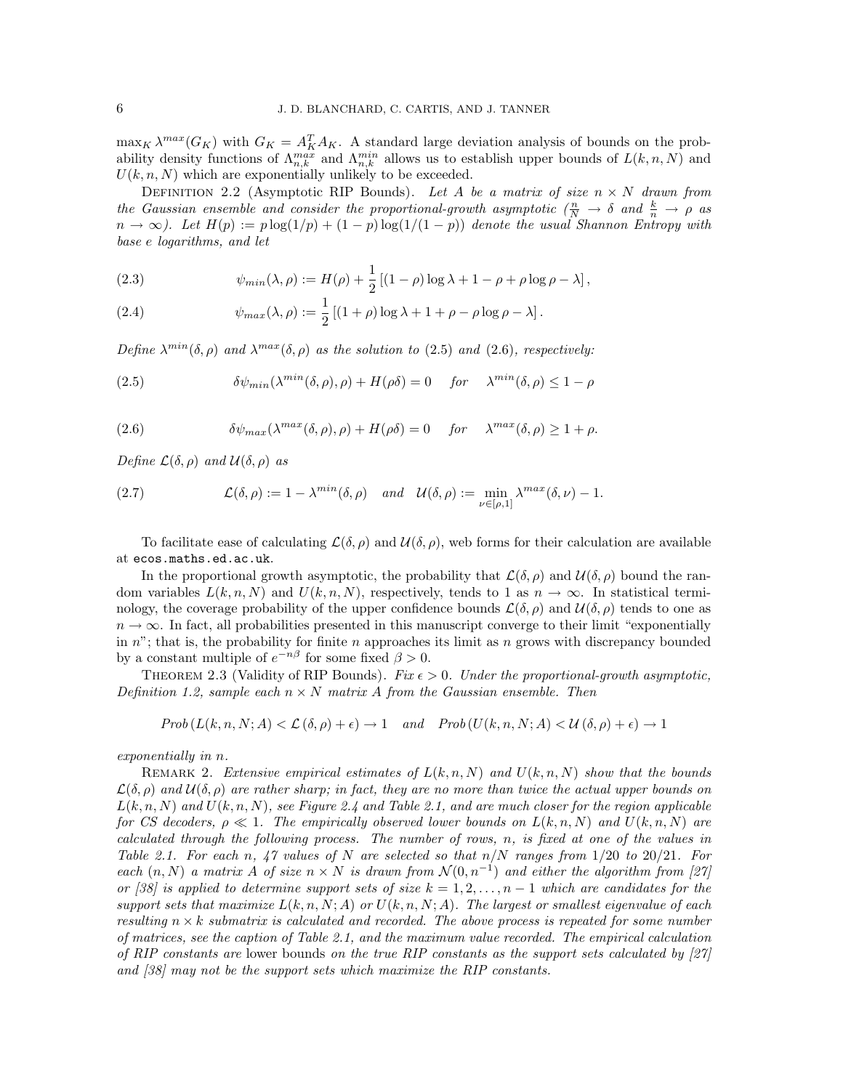$\max_K \lambda^{max}(G_K)$  with  $G_K = A_K^T A_K$ . A standard large deviation analysis of bounds on the probability density functions of  $\Lambda_{n,k}^{max}$  and  $\Lambda_{n,k}^{min}$  allows us to establish upper bounds of  $L(k,n,N)$  and  $U(k, n, N)$  which are exponentially unlikely to be exceeded.

DEFINITION 2.2 (Asymptotic RIP Bounds). Let A be a matrix of size  $n \times N$  drawn from the Gaussian ensemble and consider the proportional-growth asymptotic  $(\frac{n}{N} \to \delta$  and  $\frac{k}{n} \to \rho$  as  $n \to \infty$ ). Let  $H(p) := p \log(1/p) + (1-p) \log(1/(1-p))$  denote the usual Shannon Entropy with base e logarithms, and let

(2.3) 
$$
\psi_{min}(\lambda, \rho) := H(\rho) + \frac{1}{2} [(1 - \rho) \log \lambda + 1 - \rho + \rho \log \rho - \lambda],
$$

(2.4) 
$$
\psi_{max}(\lambda, \rho) := \frac{1}{2} \left[ (1+\rho) \log \lambda + 1 + \rho - \rho \log \rho - \lambda \right].
$$

Define  $\lambda^{min}(\delta, \rho)$  and  $\lambda^{max}(\delta, \rho)$  as the solution to (2.5) and (2.6), respectively:

(2.5) 
$$
\delta \psi_{min}(\lambda^{min}(\delta, \rho), \rho) + H(\rho \delta) = 0 \quad \text{for} \quad \lambda^{min}(\delta, \rho) \leq 1 - \rho
$$

(2.6) 
$$
\delta \psi_{max}(\lambda^{max}(\delta,\rho),\rho) + H(\rho \delta) = 0 \quad \text{for} \quad \lambda^{max}(\delta,\rho) \ge 1 + \rho.
$$

Define  $\mathcal{L}(\delta,\rho)$  and  $\mathcal{U}(\delta,\rho)$  as

(2.7) 
$$
\mathcal{L}(\delta,\rho) := 1 - \lambda^{\min}(\delta,\rho) \quad \text{and} \quad \mathcal{U}(\delta,\rho) := \min_{\nu \in [\rho,1]} \lambda^{\max}(\delta,\nu) - 1.
$$

To facilitate ease of calculating  $\mathcal{L}(\delta, \rho)$  and  $\mathcal{U}(\delta, \rho)$ , web forms for their calculation are available at ecos.maths.ed.ac.uk.

In the proportional growth asymptotic, the probability that  $\mathcal{L}(\delta,\rho)$  and  $\mathcal{U}(\delta,\rho)$  bound the random variables  $L(k, n, N)$  and  $U(k, n, N)$ , respectively, tends to 1 as  $n \to \infty$ . In statistical terminology, the coverage probability of the upper confidence bounds  $\mathcal{L}(\delta,\rho)$  and  $\mathcal{U}(\delta,\rho)$  tends to one as  $n \to \infty$ . In fact, all probabilities presented in this manuscript converge to their limit "exponentially" in  $n$ "; that is, the probability for finite n approaches its limit as n grows with discrepancy bounded by a constant multiple of  $e^{-n\beta}$  for some fixed  $\beta > 0$ .

THEOREM 2.3 (Validity of RIP Bounds). Fix  $\epsilon > 0$ . Under the proportional-growth asymptotic, Definition 1.2, sample each  $n \times N$  matrix A from the Gaussian ensemble. Then

$$
Prob(L(k, n, N; A) < \mathcal{L}(\delta, \rho) + \epsilon) \to 1 \quad and \quad Prob(U(k, n, N; A) < \mathcal{U}(\delta, \rho) + \epsilon) \to 1
$$

exponentially in n.

REMARK 2. Extensive empirical estimates of  $L(k, n, N)$  and  $U(k, n, N)$  show that the bounds  $\mathcal{L}(\delta,\rho)$  and  $\mathcal{U}(\delta,\rho)$  are rather sharp; in fact, they are no more than twice the actual upper bounds on  $L(k, n, N)$  and  $U(k, n, N)$ , see Figure 2.4 and Table 2.1, and are much closer for the region applicable for CS decoders,  $\rho \ll 1$ . The empirically observed lower bounds on  $L(k, n, N)$  and  $U(k, n, N)$  are calculated through the following process. The number of rows, n, is fixed at one of the values in Table 2.1. For each n, 47 values of N are selected so that  $n/N$  ranges from  $1/20$  to  $20/21$ . For each  $(n, N)$  a matrix A of size  $n \times N$  is drawn from  $\mathcal{N}(0, n^{-1})$  and either the algorithm from [27] or [38] is applied to determine support sets of size  $k = 1, 2, \ldots, n - 1$  which are candidates for the support sets that maximize  $L(k, n, N; A)$  or  $U(k, n, N; A)$ . The largest or smallest eigenvalue of each resulting  $n \times k$  submatrix is calculated and recorded. The above process is repeated for some number of matrices, see the caption of Table 2.1, and the maximum value recorded. The empirical calculation of RIP constants are lower bounds on the true RIP constants as the support sets calculated by [27] and [38] may not be the support sets which maximize the RIP constants.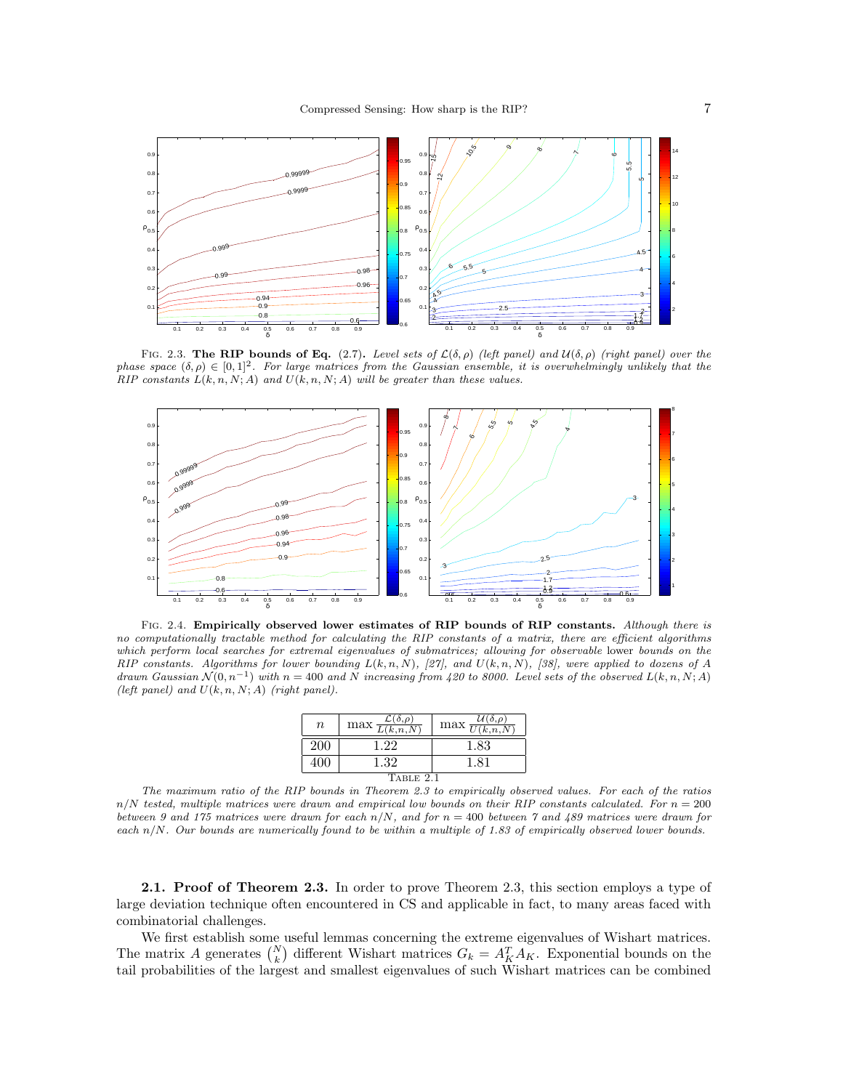

FIG. 2.3. The RIP bounds of Eq. (2.7). Level sets of  $\mathcal{L}(\delta, \rho)$  (left panel) and  $\mathcal{U}(\delta, \rho)$  (right panel) over the phase space  $(\delta, \rho) \in [0, 1]^2$ . For large matrices from the Gaussian ensemble, it is overwhelmingly unlikely that the  $RIP$  constants  $L(k, n, N; A)$  and  $U(k, n, N; A)$  will be greater than these values.



FIG. 2.4. Empirically observed lower estimates of RIP bounds of RIP constants. Although there is no computationally tractable method for calculating the RIP constants of a matrix, there are efficient algorithms which perform local searches for extremal eigenvalues of submatrices; allowing for observable lower bounds on the RIP constants. Algorithms for lower bounding  $L(k, n, N)$ , [27], and  $U(k, n, N)$ , [38], were applied to dozens of A drawn Gaussian  $\mathcal{N}(0, n^{-1})$  with  $n = 400$  and N increasing from 420 to 8000. Level sets of the observed  $L(k, n, N; A)$ (left panel) and  $U(k, n, N; A)$  (right panel).

| $\, n$    | $\max \frac{\mathcal{L}(\delta,\rho)}{L(k,n,N)}$ | $\max \frac{\mathcal{U}(\delta,\rho)}{U(k,n,N)}$ |
|-----------|--------------------------------------------------|--------------------------------------------------|
| 200       | 122                                              | 1.83                                             |
|           | 1.32                                             | 1.81                                             |
| TABLE 2.1 |                                                  |                                                  |

The maximum ratio of the RIP bounds in Theorem 2.3 to empirically observed values. For each of the ratios  $n/N$  tested, multiple matrices were drawn and empirical low bounds on their RIP constants calculated. For  $n = 200$ between 9 and 175 matrices were drawn for each  $n/N$ , and for  $n = 400$  between 7 and 489 matrices were drawn for each  $n/N$ . Our bounds are numerically found to be within a multiple of 1.83 of empirically observed lower bounds.

2.1. Proof of Theorem 2.3. In order to prove Theorem 2.3, this section employs a type of large deviation technique often encountered in CS and applicable in fact, to many areas faced with combinatorial challenges.

We first establish some useful lemmas concerning the extreme eigenvalues of Wishart matrices. The matrix A generates  $\binom{N}{k}$  different Wishart matrices  $G_k = A_K^T A_K$ . Exponential bounds on the tail probabilities of the largest and smallest eigenvalues of such Wishart matrices can be combined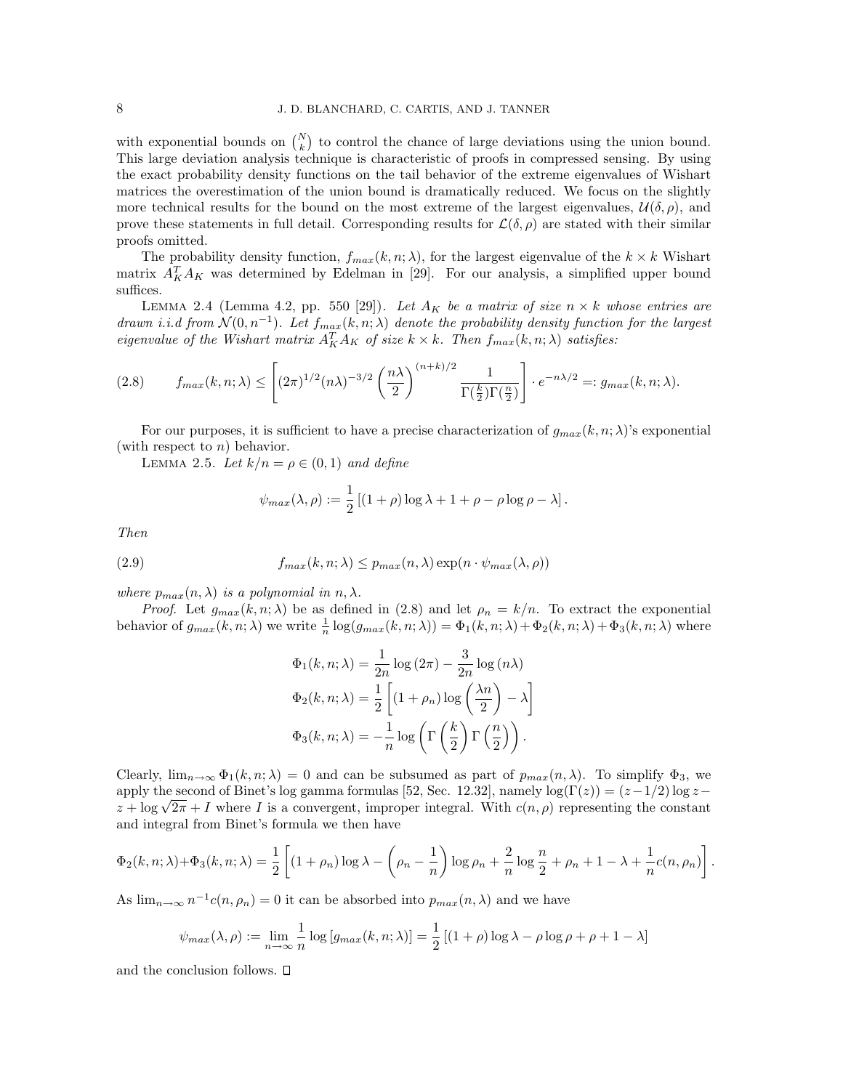with exponential bounds on  $\binom{N}{k}$  to control the chance of large deviations using the union bound. This large deviation analysis technique is characteristic of proofs in compressed sensing. By using the exact probability density functions on the tail behavior of the extreme eigenvalues of Wishart matrices the overestimation of the union bound is dramatically reduced. We focus on the slightly more technical results for the bound on the most extreme of the largest eigenvalues,  $\mathcal{U}(\delta,\rho)$ , and prove these statements in full detail. Corresponding results for  $\mathcal{L}(\delta,\rho)$  are stated with their similar proofs omitted.

The probability density function,  $f_{max}(k, n; \lambda)$ , for the largest eigenvalue of the  $k \times k$  Wishart matrix  $A_K^T A_K$  was determined by Edelman in [29]. For our analysis, a simplified upper bound suffices.

LEMMA 2.4 (Lemma 4.2, pp. 550 [29]). Let  $A_K$  be a matrix of size  $n \times k$  whose entries are drawn i.i.d from  $\mathcal{N}(0, n^{-1})$ . Let  $f_{max}(k, n; \lambda)$  denote the probability density function for the largest eigenvalue of the Wishart matrix  $A_K^T A_K$  of size  $k \times k$ . Then  $f_{max}(k, n; \lambda)$  satisfies:

$$
(2.8) \qquad f_{max}(k,n;\lambda) \le \left[ (2\pi)^{1/2} (n\lambda)^{-3/2} \left( \frac{n\lambda}{2} \right)^{(n+k)/2} \frac{1}{\Gamma(\frac{k}{2}) \Gamma(\frac{n}{2})} \right] \cdot e^{-n\lambda/2} =: g_{max}(k,n;\lambda).
$$

For our purposes, it is sufficient to have a precise characterization of  $g_{max}(k, n; \lambda)$ 's exponential (with respect to  $n$ ) behavior.

LEMMA 2.5. Let  $k/n = \rho \in (0,1)$  and define

$$
\psi_{max}(\lambda, \rho) := \frac{1}{2} \left[ (1 + \rho) \log \lambda + 1 + \rho - \rho \log \rho - \lambda \right].
$$

Then

(2.9) 
$$
f_{max}(k, n; \lambda) \leq p_{max}(n, \lambda) \exp(n \cdot \psi_{max}(\lambda, \rho))
$$

where  $p_{max}(n, \lambda)$  is a polynomial in  $n, \lambda$ .

*Proof.* Let  $g_{max}(k, n; \lambda)$  be as defined in (2.8) and let  $\rho_n = k/n$ . To extract the exponential behavior of  $g_{max}(k, n; \lambda)$  we write  $\frac{1}{n} \log(g_{max}(k, n; \lambda)) = \Phi_1(k, n; \lambda) + \Phi_2(k, n; \lambda) + \Phi_3(k, n; \lambda)$  where

$$
\Phi_1(k, n; \lambda) = \frac{1}{2n} \log (2\pi) - \frac{3}{2n} \log (n\lambda)
$$

$$
\Phi_2(k, n; \lambda) = \frac{1}{2} \left[ (1 + \rho_n) \log \left( \frac{\lambda n}{2} \right) - \lambda \right]
$$

$$
\Phi_3(k, n; \lambda) = -\frac{1}{n} \log \left( \Gamma \left( \frac{k}{2} \right) \Gamma \left( \frac{n}{2} \right) \right).
$$

Clearly,  $\lim_{n\to\infty} \Phi_1(k,n;\lambda) = 0$  and can be subsumed as part of  $p_{max}(n,\lambda)$ . To simplify  $\Phi_3$ , we apply the second of Binet's log gamma formulas [52, Sec. 12.32], namely  $\log(\Gamma(z)) = (z-1/2) \log z$ apply the second of Binet's log gamma formulas [52, Sec. 12.32], hamely  $log(1(z)) = (z-1/2) log z - z + log \sqrt{2\pi} + I$  where I is a convergent, improper integral. With  $c(n, \rho)$  representing the constant and integral from Binet's formula we then have

$$
\Phi_2(k,n;\lambda)+\Phi_3(k,n;\lambda)=\frac{1}{2}\left[(1+\rho_n)\log\lambda-\left(\rho_n-\frac{1}{n}\right)\log\rho_n+\frac{2}{n}\log\frac{n}{2}+\rho_n+1-\lambda+\frac{1}{n}c(n,\rho_n)\right].
$$

As  $\lim_{n\to\infty} n^{-1}c(n,\rho_n) = 0$  it can be absorbed into  $p_{max}(n,\lambda)$  and we have

$$
\psi_{max}(\lambda, \rho) := \lim_{n \to \infty} \frac{1}{n} \log \left[ g_{max}(k, n; \lambda) \right] = \frac{1}{2} \left[ (1 + \rho) \log \lambda - \rho \log \rho + \rho + 1 - \lambda \right]
$$

and the conclusion follows.  $\square$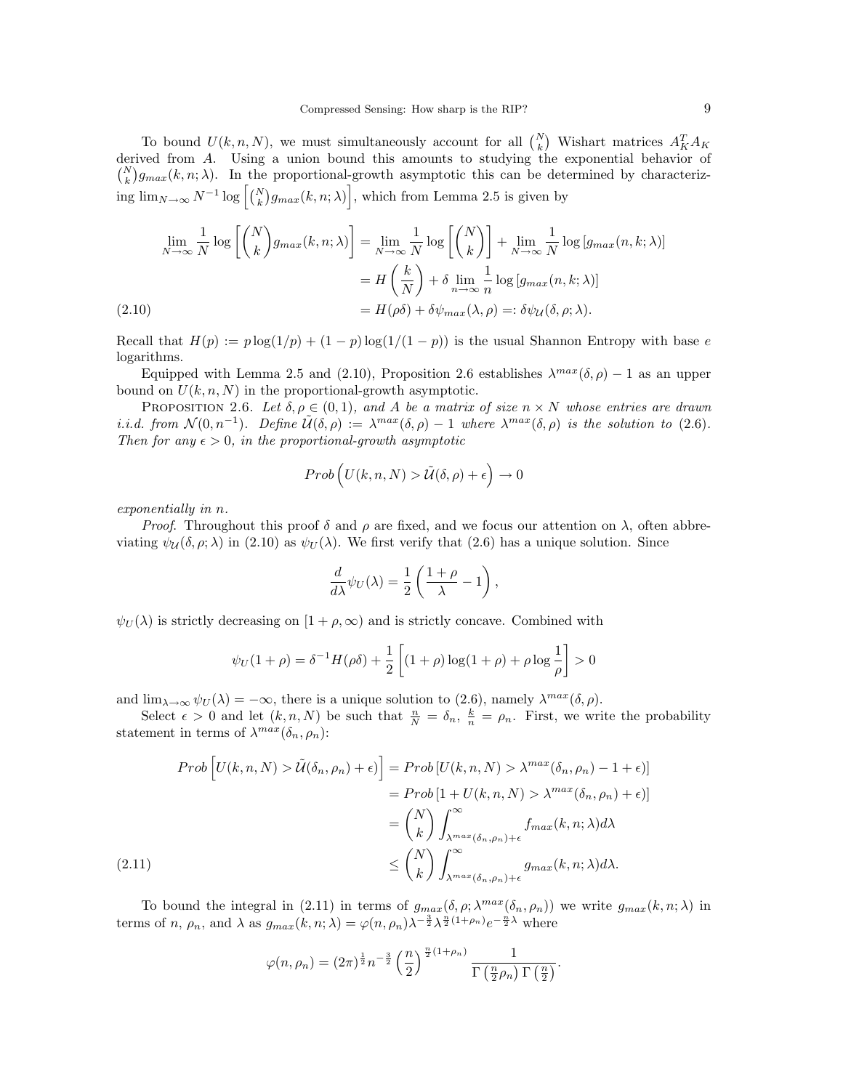To bound  $U(k, n, N)$ , we must simultaneously account for all  $\binom{N}{k}$  Wishart matrices  $A_K^T A_K$ derived from A. Using a union bound this amounts to studying the exponential behavior of  $\binom{N}{k}g_{max}(k, n; \lambda)$ . In the proportional-growth asymptotic this can be determined by characterizing  $\lim_{N\to\infty} N^{-1} \log \left[ {N \choose k} g_{max}(k,n;\lambda) \right]$ , which from Lemma 2.5 is given by

$$
\lim_{N \to \infty} \frac{1}{N} \log \left[ \binom{N}{k} g_{max}(k, n; \lambda) \right] = \lim_{N \to \infty} \frac{1}{N} \log \left[ \binom{N}{k} \right] + \lim_{N \to \infty} \frac{1}{N} \log \left[ g_{max}(n, k; \lambda) \right]
$$
\n
$$
= H \left( \frac{k}{N} \right) + \delta \lim_{n \to \infty} \frac{1}{n} \log \left[ g_{max}(n, k; \lambda) \right]
$$
\n
$$
(2.10)
$$
\n
$$
= H(\rho \delta) + \delta \psi_{max}(\lambda, \rho) =: \delta \psi_{\mathcal{U}}(\delta, \rho; \lambda).
$$

Recall that  $H(p) := p \log(1/p) + (1-p) \log(1/(1-p))$  is the usual Shannon Entropy with base e logarithms.

Equipped with Lemma 2.5 and (2.10), Proposition 2.6 establishes  $\lambda^{max}(\delta, \rho) - 1$  as an upper bound on  $U(k, n, N)$  in the proportional-growth asymptotic.

PROPOSITION 2.6. Let  $\delta, \rho \in (0,1)$ , and A be a matrix of size  $n \times N$  whose entries are drawn i.i.d. from  $\mathcal{N}(0,n^{-1})$ . Define  $\mathcal{U}(\delta,\rho) := \lambda^{max}(\delta,\rho) - 1$  where  $\lambda^{max}(\delta,\rho)$  is the solution to (2.6). Then for any  $\epsilon > 0$ , in the proportional-growth asymptotic

$$
Prob\left(U(k,n,N) > \tilde{U}(\delta,\rho) + \epsilon\right) \to 0
$$

exponentially in n.

*Proof.* Throughout this proof  $\delta$  and  $\rho$  are fixed, and we focus our attention on  $\lambda$ , often abbreviating  $\psi_{\mathcal{U}}(\delta, \rho; \lambda)$  in (2.10) as  $\psi_{U}(\lambda)$ . We first verify that (2.6) has a unique solution. Since

$$
\frac{d}{d\lambda}\psi_U(\lambda) = \frac{1}{2}\left(\frac{1+\rho}{\lambda} - 1\right),\,
$$

 $\psi_U(\lambda)$  is strictly decreasing on  $[1+\rho,\infty)$  and is strictly concave. Combined with

$$
\psi_U(1+\rho) = \delta^{-1}H(\rho\delta) + \frac{1}{2}\left[ (1+\rho)\log(1+\rho) + \rho\log\frac{1}{\rho} \right] > 0
$$

and  $\lim_{\lambda \to \infty} \psi_U(\lambda) = -\infty$ , there is a unique solution to (2.6), namely  $\lambda^{max}(\delta, \rho)$ .

Select  $\epsilon > 0$  and let  $(k, n, N)$  be such that  $\frac{n}{N} = \delta_n$ ,  $\frac{k}{n} = \rho_n$ . First, we write the probability statement in terms of  $\lambda^{max}(\delta_n, \rho_n)$ :

$$
Prob\left[U(k,n,N) > \tilde{U}(\delta_n, \rho_n) + \epsilon\right] = Prob\left[U(k,n,N) > \lambda^{max}(\delta_n, \rho_n) - 1 + \epsilon\right]
$$

$$
= Prob\left[1 + U(k,n,N) > \lambda^{max}(\delta_n, \rho_n) + \epsilon\right]
$$

$$
= {N \choose k} \int_{\lambda^{max}(\delta_n, \rho_n) + \epsilon}^{ \infty} f_{max}(k,n;\lambda) d\lambda
$$

$$
\le {N \choose k} \int_{\lambda^{max}(\delta_n, \rho_n) + \epsilon}^{ \infty} g_{max}(k,n;\lambda) d\lambda.
$$

To bound the integral in (2.11) in terms of  $g_{max}(\delta, \rho; \lambda^{max}(\delta_n, \rho_n))$  we write  $g_{max}(k, n; \lambda)$  in terms of *n*,  $\rho_n$ , and  $\lambda$  as  $g_{max}(k, n; \lambda) = \varphi(n, \rho_n) \lambda^{-\frac{3}{2}} \lambda^{\frac{n}{2}(1+\rho_n)} e^{-\frac{n}{2}\lambda}$  where

$$
\varphi(n,\rho_n) = (2\pi)^{\frac{1}{2}} n^{-\frac{3}{2}} \left(\frac{n}{2}\right)^{\frac{n}{2}(1+\rho_n)} \frac{1}{\Gamma\left(\frac{n}{2}\rho_n\right)\Gamma\left(\frac{n}{2}\right)}.
$$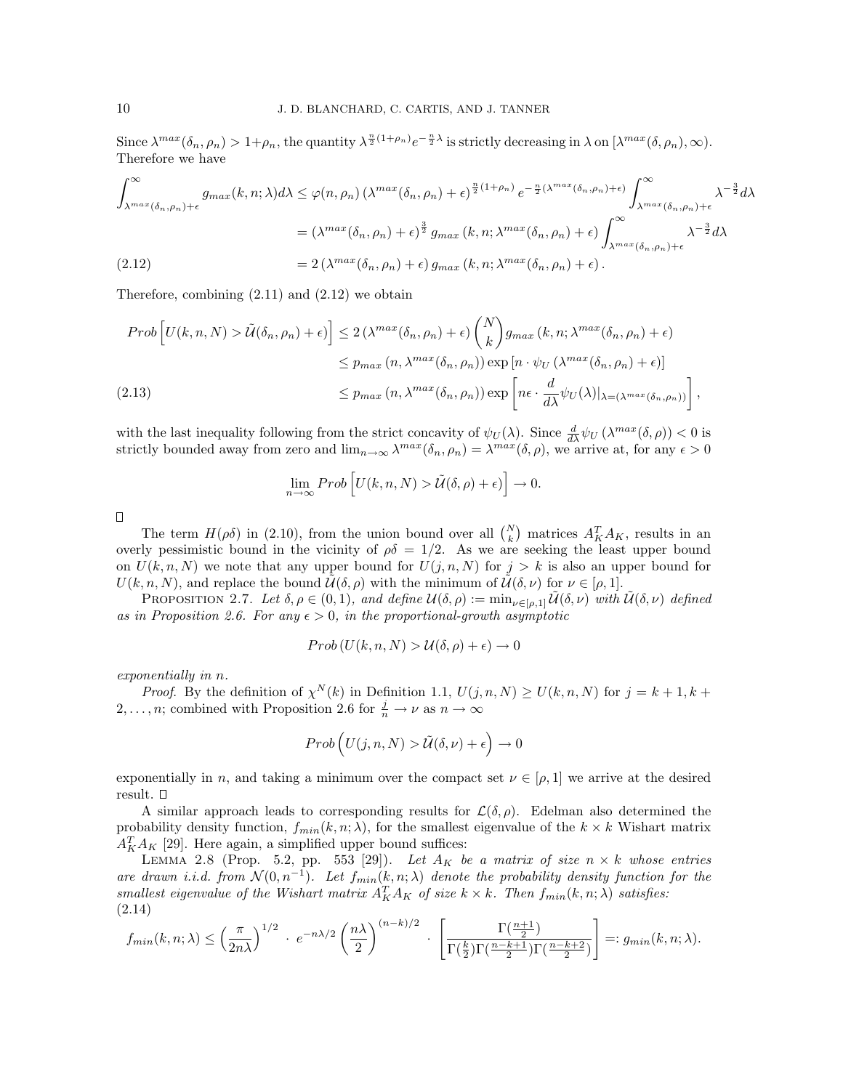Since  $\lambda^{max}(\delta_n, \rho_n) > 1 + \rho_n$ , the quantity  $\lambda^{\frac{n}{2}(1+\rho_n)} e^{-\frac{n}{2}\lambda}$  is strictly decreasing in  $\lambda$  on  $[\lambda^{max}(\delta, \rho_n), \infty)$ . Therefore we have

$$
\int_{\lambda^{max}(\delta_n,\rho_n)+\epsilon}^{\infty} g_{max}(k,n;\lambda)d\lambda \leq \varphi(n,\rho_n) \left(\lambda^{max}(\delta_n,\rho_n)+\epsilon\right)^{\frac{n}{2}(1+\rho_n)} e^{-\frac{n}{2}(\lambda^{max}(\delta_n,\rho_n)+\epsilon)} \int_{\lambda^{max}(\delta_n,\rho_n)+\epsilon}^{\infty} \lambda^{-\frac{3}{2}}d\lambda
$$
  
=\left(\lambda^{max}(\delta\_n,\rho\_n)+\epsilon\right)^{\frac{3}{2}} g\_{max}(k,n;\lambda^{max}(\delta\_n,\rho\_n)+\epsilon) \int\_{\lambda^{max}(\delta\_n,\rho\_n)+\epsilon}^{\infty} \lambda^{-\frac{3}{2}}d\lambda  
(2.12) 
$$
= 2\left(\lambda^{max}(\delta_n,\rho_n)+\epsilon\right) g_{max}(k,n;\lambda^{max}(\delta_n,\rho_n)+\epsilon).
$$

Therefore, combining  $(2.11)$  and  $(2.12)$  we obtain

$$
Prob\left[U(k,n,N) > \tilde{U}(\delta_n, \rho_n) + \epsilon\right] \le 2\left(\lambda^{max}(\delta_n, \rho_n) + \epsilon\right) {N \choose k} g_{max}(k,n; \lambda^{max}(\delta_n, \rho_n) + \epsilon)
$$
  

$$
\le p_{max}(n, \lambda^{max}(\delta_n, \rho_n)) \exp\left[n \cdot \psi_U(\lambda^{max}(\delta_n, \rho_n) + \epsilon)\right]
$$
  
(2.13)  

$$
\le p_{max}(n, \lambda^{max}(\delta_n, \rho_n)) \exp\left[n\epsilon \cdot \frac{d}{d\lambda} \psi_U(\lambda)|_{\lambda = (\lambda^{max}(\delta_n, \rho_n))}\right],
$$

with the last inequality following from the strict concavity of  $\psi_U(\lambda)$ . Since  $\frac{d}{d\lambda}\psi_U(\lambda^{max}(\delta,\rho)) < 0$  is strictly bounded away from zero and  $\lim_{n\to\infty}\lambda^{max}(\delta_n,\rho_n)=\lambda^{max}(\delta,\rho)$ , we arrive at, for any  $\epsilon>0$ 

$$
\lim_{n \to \infty} Prob\left[U(k, n, N) > \tilde{U}(\delta, \rho) + \epsilon\right] \to 0.
$$

 $\Box$ 

The term  $H(\rho\delta)$  in (2.10), from the union bound over all  $\binom{N}{k}$  matrices  $A_K^T A_K$ , results in an overly pessimistic bound in the vicinity of  $\rho \delta = 1/2$ . As we are seeking the least upper bound on  $U(k, n, N)$  we note that any upper bound for  $U(j, n, N)$  for  $j > k$  is also an upper bound for  $U(k, n, N)$ , and replace the bound  $\tilde{U}(\delta, \rho)$  with the minimum of  $\tilde{U}(\delta, \nu)$  for  $\nu \in [\rho, 1]$ .

PROPOSITION 2.7. Let  $\delta, \rho \in (0,1)$ , and define  $\mathcal{U}(\delta, \rho) := \min_{\nu \in [\rho,1]} \mathcal{U}(\delta, \nu)$  with  $\mathcal{U}(\delta, \nu)$  defined as in Proposition 2.6. For any  $\epsilon > 0$ , in the proportional-growth asymptotic

$$
Prob(U(k, n, N) > \mathcal{U}(\delta, \rho) + \epsilon) \to 0
$$

exponentially in n.

*Proof.* By the definition of  $\chi^N(k)$  in Definition 1.1,  $U(j, n, N) \ge U(k, n, N)$  for  $j = k + 1, k + 1$ 2, ..., *n*; combined with Proposition 2.6 for  $\frac{j}{n} \to \nu$  as  $n \to \infty$ 

$$
Prob\left(U(j,n,N)>\tilde{\mathcal{U}}(\delta,\nu)+\epsilon\right)\rightarrow 0
$$

exponentially in n, and taking a minimum over the compact set  $\nu \in [\rho, 1]$  we arrive at the desired result.  $\Box$ 

A similar approach leads to corresponding results for  $\mathcal{L}(\delta,\rho)$ . Edelman also determined the probability density function,  $f_{min}(k, n; \lambda)$ , for the smallest eigenvalue of the  $k \times k$  Wishart matrix  $A_K^T A_K$  [29]. Here again, a simplified upper bound suffices:

LEMMA 2.8 (Prop. 5.2, pp. 553 [29]). Let  $A_K$  be a matrix of size  $n \times k$  whose entries are drawn i.i.d. from  $\mathcal{N}(0, n^{-1})$ . Let  $f_{min}(k, n; \lambda)$  denote the probability density function for the smallest eigenvalue of the Wishart matrix  $A_K^T A_K$  of size  $k \times k$ . Then  $f_{min}(k, n; \lambda)$  satisfies: (2.14)

$$
f_{min}(k,n;\lambda) \leq \left(\frac{\pi}{2n\lambda}\right)^{1/2} \cdot e^{-n\lambda/2} \left(\frac{n\lambda}{2}\right)^{(n-k)/2} \cdot \left[\frac{\Gamma(\frac{n+1}{2})}{\Gamma(\frac{k}{2})\Gamma(\frac{n-k+1}{2})\Gamma(\frac{n-k+2}{2})}\right] =: g_{min}(k,n;\lambda).
$$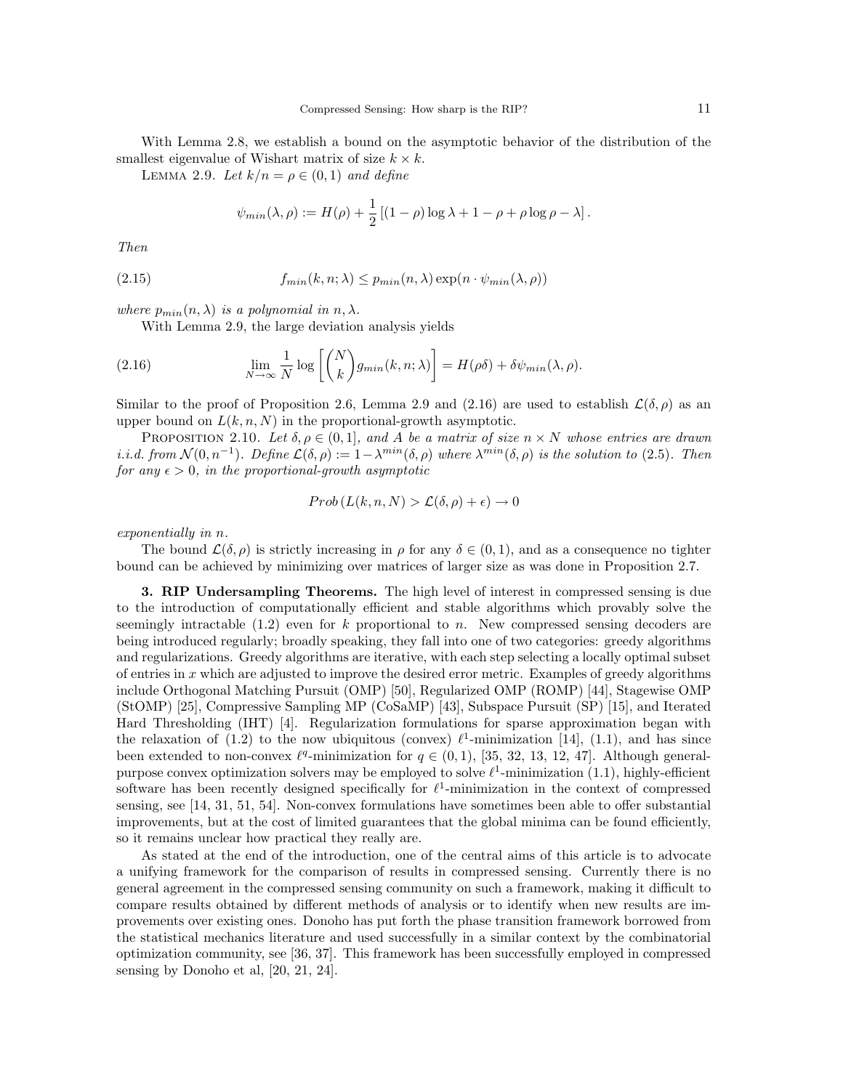With Lemma 2.8, we establish a bound on the asymptotic behavior of the distribution of the smallest eigenvalue of Wishart matrix of size  $k \times k$ .

LEMMA 2.9. Let  $k/n = \rho \in (0,1)$  and define

$$
\psi_{min}(\lambda, \rho) := H(\rho) + \frac{1}{2} \left[ (1 - \rho) \log \lambda + 1 - \rho + \rho \log \rho - \lambda \right].
$$

Then

(2.15) 
$$
f_{min}(k, n; \lambda) \le p_{min}(n, \lambda) \exp(n \cdot \psi_{min}(\lambda, \rho))
$$

where  $p_{min}(n, \lambda)$  is a polynomial in  $n, \lambda$ .

With Lemma 2.9, the large deviation analysis yields

(2.16) 
$$
\lim_{N \to \infty} \frac{1}{N} \log \left[ \binom{N}{k} g_{min}(k, n; \lambda) \right] = H(\rho \delta) + \delta \psi_{min}(\lambda, \rho).
$$

Similar to the proof of Proposition 2.6, Lemma 2.9 and (2.16) are used to establish  $\mathcal{L}(\delta,\rho)$  as an upper bound on  $L(k, n, N)$  in the proportional-growth asymptotic.

PROPOSITION 2.10. Let  $\delta, \rho \in (0, 1]$ , and A be a matrix of size  $n \times N$  whose entries are drawn i.i.d. from  $\mathcal{N}(0, n^{-1})$ . Define  $\mathcal{L}(\delta, \rho) := 1 - \lambda^{min}(\delta, \rho)$  where  $\lambda^{min}(\delta, \rho)$  is the solution to (2.5). Then for any  $\epsilon > 0$ , in the proportional-growth asymptotic

$$
Prob(L(k, n, N) > \mathcal{L}(\delta, \rho) + \epsilon) \to 0
$$

exponentially in n.

The bound  $\mathcal{L}(\delta,\rho)$  is strictly increasing in  $\rho$  for any  $\delta \in (0,1)$ , and as a consequence no tighter bound can be achieved by minimizing over matrices of larger size as was done in Proposition 2.7.

3. RIP Undersampling Theorems. The high level of interest in compressed sensing is due to the introduction of computationally efficient and stable algorithms which provably solve the seemingly intractable  $(1.2)$  even for k proportional to n. New compressed sensing decoders are being introduced regularly; broadly speaking, they fall into one of two categories: greedy algorithms and regularizations. Greedy algorithms are iterative, with each step selecting a locally optimal subset of entries in  $x$  which are adjusted to improve the desired error metric. Examples of greedy algorithms include Orthogonal Matching Pursuit (OMP) [50], Regularized OMP (ROMP) [44], Stagewise OMP (StOMP) [25], Compressive Sampling MP (CoSaMP) [43], Subspace Pursuit (SP) [15], and Iterated Hard Thresholding (IHT) [4]. Regularization formulations for sparse approximation began with the relaxation of (1.2) to the now ubiquitous (convex)  $\ell^1$ -minimization [14], (1.1), and has since been extended to non-convex  $\ell^q$ -minimization for  $q \in (0,1)$ , [35, 32, 13, 12, 47]. Although generalpurpose convex optimization solvers may be employed to solve  $\ell^1$ -minimization (1.1), highly-efficient software has been recently designed specifically for  $\ell^1$ -minimization in the context of compressed sensing, see [14, 31, 51, 54]. Non-convex formulations have sometimes been able to offer substantial improvements, but at the cost of limited guarantees that the global minima can be found efficiently, so it remains unclear how practical they really are.

As stated at the end of the introduction, one of the central aims of this article is to advocate a unifying framework for the comparison of results in compressed sensing. Currently there is no general agreement in the compressed sensing community on such a framework, making it difficult to compare results obtained by different methods of analysis or to identify when new results are improvements over existing ones. Donoho has put forth the phase transition framework borrowed from the statistical mechanics literature and used successfully in a similar context by the combinatorial optimization community, see [36, 37]. This framework has been successfully employed in compressed sensing by Donoho et al, [20, 21, 24].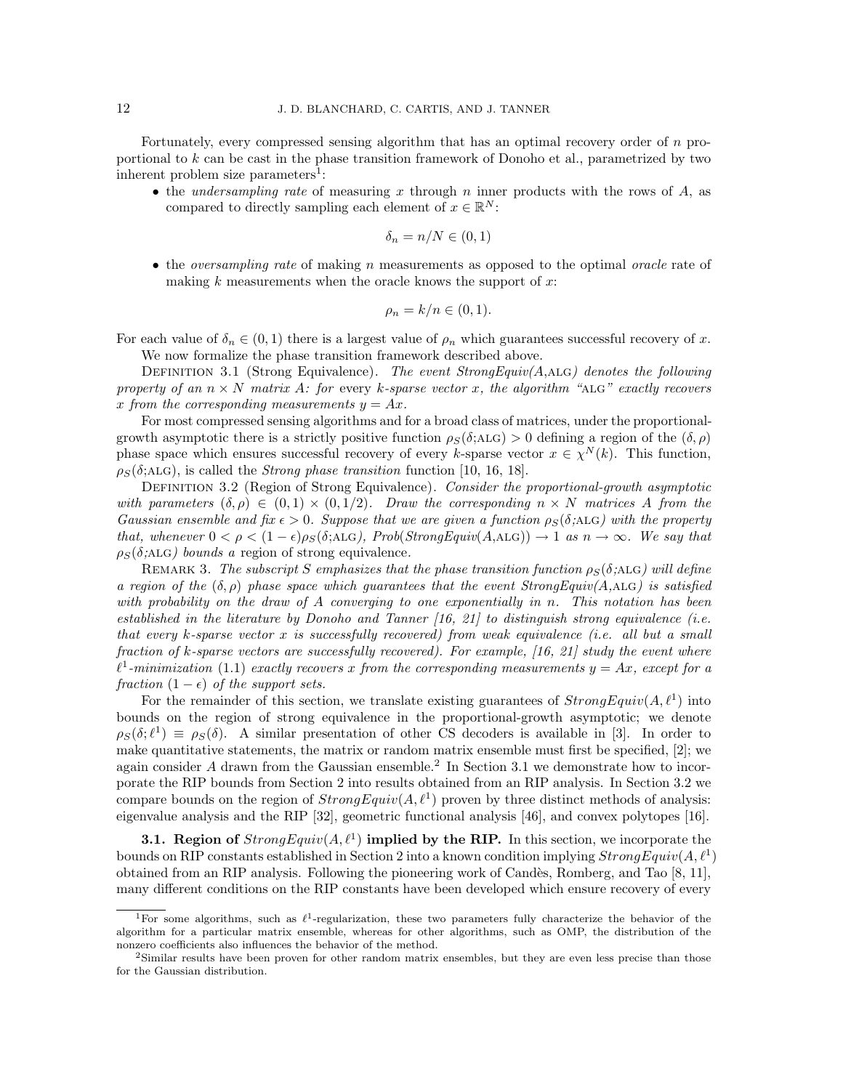Fortunately, every compressed sensing algorithm that has an optimal recovery order of n proportional to k can be cast in the phase transition framework of Donoho et al., parametrized by two inherent problem size parameters<sup>1</sup>:

• the *undersampling rate* of measuring x through n inner products with the rows of  $A$ , as compared to directly sampling each element of  $x \in \mathbb{R}^N$ :

$$
\delta_n = n/N \in (0,1)
$$

• the *oversampling rate* of making n measurements as opposed to the optimal *oracle* rate of making  $k$  measurements when the oracle knows the support of  $x$ :

$$
\rho_n = k/n \in (0,1).
$$

For each value of  $\delta_n \in (0,1)$  there is a largest value of  $\rho_n$  which guarantees successful recovery of x.

We now formalize the phase transition framework described above.

DEFINITION 3.1 (Strong Equivalence). The event  $StrongEquiv(A, A\sqcup G)$  denotes the following property of an  $n \times N$  matrix A: for every k-sparse vector x, the algorithm "ALG" exactly recovers x from the corresponding measurements  $y = Ax$ .

For most compressed sensing algorithms and for a broad class of matrices, under the proportionalgrowth asymptotic there is a strictly positive function  $\rho_S(\delta; ALG) > 0$  defining a region of the  $(\delta, \rho)$ phase space which ensures successful recovery of every k-sparse vector  $x \in \chi^N(k)$ . This function,  $\rho_S(\delta; ALG)$ , is called the *Strong phase transition* function [10, 16, 18].

DEFINITION 3.2 (Region of Strong Equivalence). Consider the proportional-growth asymptotic with parameters  $(\delta, \rho) \in (0, 1) \times (0, 1/2)$ . Draw the corresponding  $n \times N$  matrices A from the Gaussian ensemble and fix  $\epsilon > 0$ . Suppose that we are given a function  $\rho_S(\delta; ALG)$  with the property that, whenever  $0 < \rho < (1 - \epsilon)\rho_S(\delta; ALG)$ , Prob(StrongEquiv(A,ALG))  $\rightarrow$  1 as  $n \rightarrow \infty$ . We say that  $\rho_S(\delta; ALG)$  bounds a region of strong equivalence.

REMARK 3. The subscript S emphasizes that the phase transition function  $\rho_S(\delta; ALG)$  will define a region of the  $(\delta, \rho)$  phase space which guarantees that the event StrongEquiv(A,ALG) is satisfied with probability on the draw of A converging to one exponentially in n. This notation has been established in the literature by Donoho and Tanner  $(16, 21)$  to distinguish strong equivalence (i.e. that every k-sparse vector x is successfully recovered) from weak equivalence (i.e. all but a small fraction of k-sparse vectors are successfully recovered). For example, [16, 21] study the event where  $\ell^1$ -minimization (1.1) exactly recovers x from the corresponding measurements  $y = Ax$ , except for a fraction  $(1 - \epsilon)$  of the support sets.

For the remainder of this section, we translate existing guarantees of  $StrongEquiv(A, \ell^1)$  into bounds on the region of strong equivalence in the proportional-growth asymptotic; we denote  $\rho_S(\delta; \ell^1) \equiv \rho_S(\delta)$ . A similar presentation of other CS decoders is available in [3]. In order to make quantitative statements, the matrix or random matrix ensemble must first be specified, [2]; we again consider  $A$  drawn from the Gaussian ensemble.<sup>2</sup> In Section 3.1 we demonstrate how to incorporate the RIP bounds from Section 2 into results obtained from an RIP analysis. In Section 3.2 we compare bounds on the region of  $StrongEquiv(A, \ell^1)$  proven by three distinct methods of analysis: eigenvalue analysis and the RIP [32], geometric functional analysis [46], and convex polytopes [16].

**3.1.** Region of  $StrongEquiv(A, \ell^1)$  implied by the RIP. In this section, we incorporate the bounds on RIP constants established in Section 2 into a known condition implying  $StrongEquiv(A, \ell^1)$ obtained from an RIP analysis. Following the pioneering work of Cand`es, Romberg, and Tao [8, 11], many different conditions on the RIP constants have been developed which ensure recovery of every

<sup>&</sup>lt;sup>1</sup>For some algorithms, such as  $\ell^1$ -regularization, these two parameters fully characterize the behavior of the algorithm for a particular matrix ensemble, whereas for other algorithms, such as OMP, the distribution of the nonzero coefficients also influences the behavior of the method.

<sup>2</sup>Similar results have been proven for other random matrix ensembles, but they are even less precise than those for the Gaussian distribution.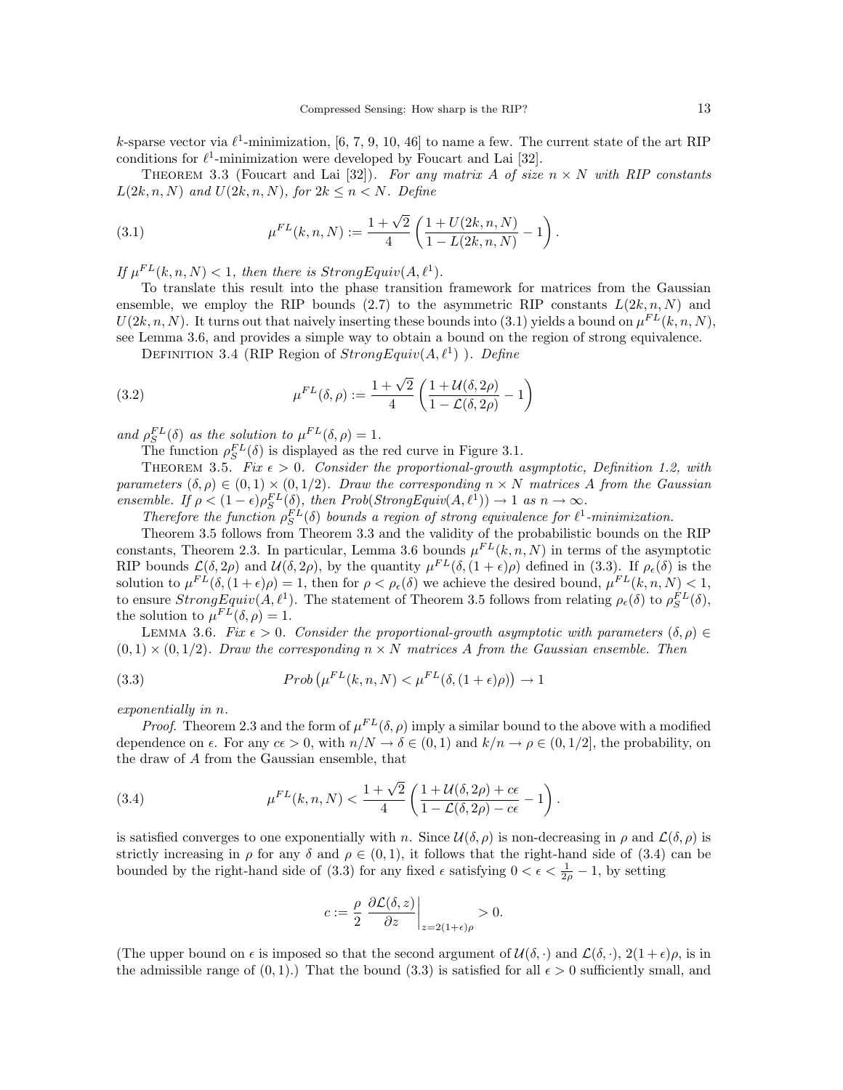k-sparse vector via  $\ell^1$ -minimization, [6, 7, 9, 10, 46] to name a few. The current state of the art RIP conditions for  $\ell^1$ -minimization were developed by Foucart and Lai [32].

THEOREM 3.3 (Foucart and Lai [32]). For any matrix A of size  $n \times N$  with RIP constants  $L(2k, n, N)$  and  $U(2k, n, N)$ , for  $2k \leq n \leq N$ . Define

(3.1) 
$$
\mu^{FL}(k,n,N) := \frac{1+\sqrt{2}}{4} \left( \frac{1+U(2k,n,N)}{1-L(2k,n,N)} - 1 \right).
$$

If  $\mu^{FL}(k, n, N) < 1$ , then there is Strong Equiv $(A, \ell^1)$ .

To translate this result into the phase transition framework for matrices from the Gaussian ensemble, we employ the RIP bounds (2.7) to the asymmetric RIP constants  $L(2k, n, N)$  and  $U(2k, n, N)$ . It turns out that naively inserting these bounds into (3.1) yields a bound on  $\mu^{FL}(k, n, N)$ , see Lemma 3.6, and provides a simple way to obtain a bound on the region of strong equivalence.

DEFINITION 3.4 (RIP Region of  $StrongEquiv(A, \ell^1)$ ). Define

(3.2) 
$$
\mu^{FL}(\delta, \rho) := \frac{1 + \sqrt{2}}{4} \left( \frac{1 + \mathcal{U}(\delta, 2\rho)}{1 - \mathcal{L}(\delta, 2\rho)} - 1 \right)
$$

and  $\rho_S^{FL}(\delta)$  as the solution to  $\mu^{FL}(\delta, \rho) = 1$ .

The function  $\rho_S^{FL}(\delta)$  is displayed as the red curve in Figure 3.1.

THEOREM 3.5. Fix  $\epsilon > 0$ . Consider the proportional-growth asymptotic, Definition 1.2, with parameters  $(\delta, \rho) \in (0, 1) \times (0, 1/2)$ . Draw the corresponding  $n \times N$  matrices A from the Gaussian ensemble. If  $\rho < (1 - \epsilon) \rho_S^{FL}(\delta)$ , then  $Prob(StrongEquiv(A, \ell^1)) \to 1$  as  $n \to \infty$ .

Therefore the function  $\rho_S^{FL}(\delta)$  bounds a region of strong equivalence for  $\ell^1$ -minimization.

Theorem 3.5 follows from Theorem 3.3 and the validity of the probabilistic bounds on the RIP constants, Theorem 2.3. In particular, Lemma 3.6 bounds  $\mu^{FL}(k,n,N)$  in terms of the asymptotic RIP bounds  $\mathcal{L}(\delta, 2\rho)$  and  $\mathcal{U}(\delta, 2\rho)$ , by the quantity  $\mu^{FL}(\delta, (1+\epsilon)\rho)$  defined in (3.3). If  $\rho_{\epsilon}(\delta)$  is the solution to  $\mu^{FL}(\delta, (1+\epsilon)\rho) = 1$ , then for  $\rho < \rho_{\epsilon}(\delta)$  we achieve the desired bound,  $\mu^{FL}(k, n, N) < 1$ , to ensure  $StrongEquiv(A,\ell^1)$ . The statement of Theorem 3.5 follows from relating  $\rho_{\epsilon}(\delta)$  to  $\rho_S^{FL}(\delta)$ , the solution to  $\mu^{FL}(\delta, \rho) = 1$ .

LEMMA 3.6. Fix  $\epsilon > 0$ . Consider the proportional-growth asymptotic with parameters  $(\delta, \rho) \in$  $(0,1) \times (0,1/2)$ . Draw the corresponding  $n \times N$  matrices A from the Gaussian ensemble. Then

(3.3) 
$$
Prob(\mu^{FL}(k, n, N) < \mu^{FL}(\delta, (1+\epsilon)\rho)) \to 1
$$

exponentially in n.

*Proof.* Theorem 2.3 and the form of  $\mu^{FL}(\delta, \rho)$  imply a similar bound to the above with a modified dependence on  $\epsilon$ . For any  $c\epsilon > 0$ , with  $n/N \to \delta \in (0,1)$  and  $k/n \to \rho \in (0,1/2]$ , the probability, on the draw of A from the Gaussian ensemble, that

(3.4) 
$$
\mu^{FL}(k,n,N) < \frac{1+\sqrt{2}}{4} \left( \frac{1+\mathcal{U}(\delta,2\rho)+c\epsilon}{1-\mathcal{L}(\delta,2\rho)-c\epsilon} - 1 \right).
$$

is satisfied converges to one exponentially with n. Since  $\mathcal{U}(\delta,\rho)$  is non-decreasing in  $\rho$  and  $\mathcal{L}(\delta,\rho)$  is strictly increasing in  $\rho$  for any  $\delta$  and  $\rho \in (0,1)$ , it follows that the right-hand side of (3.4) can be bounded by the right-hand side of (3.3) for any fixed  $\epsilon$  satisfying  $0 < \epsilon < \frac{1}{2\rho} - 1$ , by setting

$$
c := \frac{\rho}{2} \left. \frac{\partial \mathcal{L}(\delta, z)}{\partial z} \right|_{z = 2(1 + \epsilon)\rho} > 0.
$$

(The upper bound on  $\epsilon$  is imposed so that the second argument of  $\mathcal{U}(\delta, \cdot)$  and  $\mathcal{L}(\delta, \cdot)$ ,  $2(1+\epsilon)\rho$ , is in the admissible range of  $(0, 1)$ .) That the bound  $(3.3)$  is satisfied for all  $\epsilon > 0$  sufficiently small, and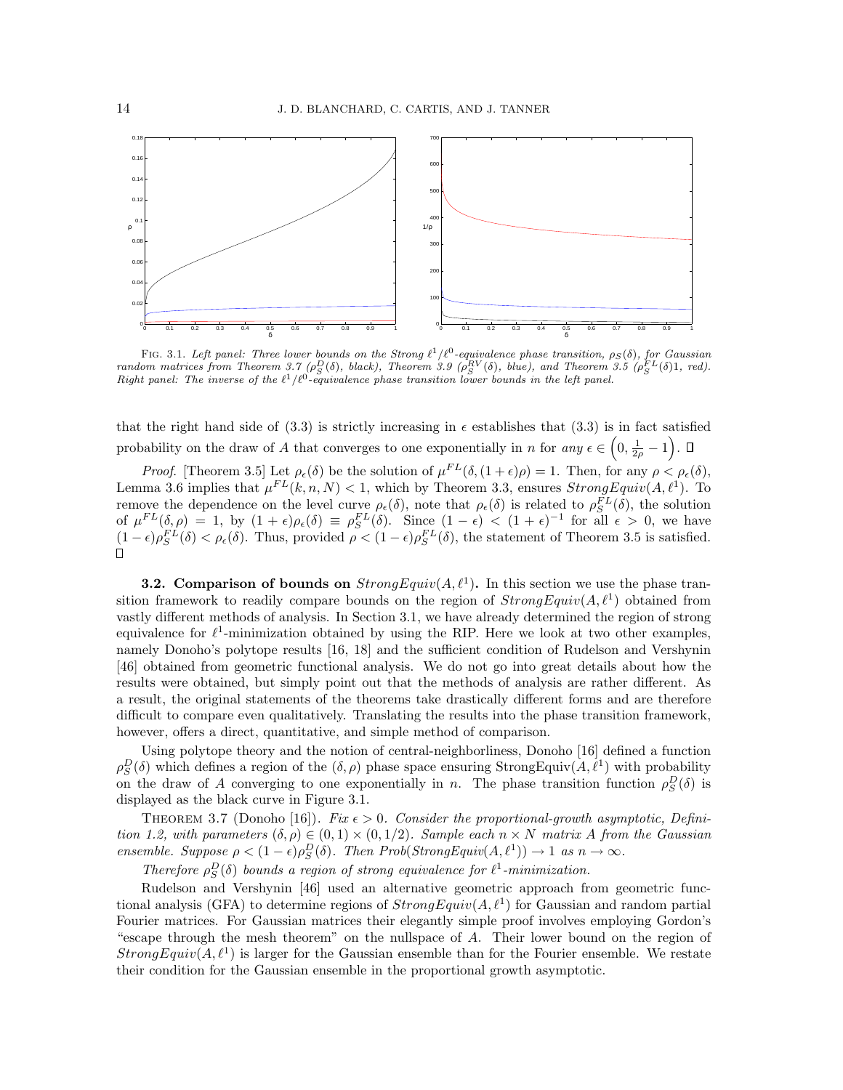

FIG. 3.1. Left panel: Three lower bounds on the Strong  $\ell^1/\ell^0$ -equivalence phase transition,  $\rho_S(\delta)$ , for Gaussian  $random$  matrices from Theorem 3.7 ( $\rho_S^D(\delta)$ , black), Theorem 3.9 ( $\rho_S^{RV}(\delta)$ , blue), and Theorem 3.5 ( $\rho_S^{FL}(\delta)1$ , red). Right panel: The inverse of the  $\ell^1/\ell^0$ -equivalence phase transition lower bounds in the left panel.

that the right hand side of (3.3) is strictly increasing in  $\epsilon$  establishes that (3.3) is in fact satisfied probability on the draw of A that converges to one exponentially in n for any  $\epsilon \in \left(0, \frac{1}{2\rho} - 1\right)$ .

*Proof.* [Theorem 3.5] Let  $\rho_{\epsilon}(\delta)$  be the solution of  $\mu^{FL}(\delta, (1+\epsilon)\rho) = 1$ . Then, for any  $\rho < \rho_{\epsilon}(\delta)$ , Lemma 3.6 implies that  $\mu^{FL}(k, n, N) < 1$ , which by Theorem 3.3, ensures  $StrongEquiv(A, \ell^1)$ . To remove the dependence on the level curve  $\rho_{\epsilon}(\delta)$ , note that  $\rho_{\epsilon}(\delta)$  is related to  $\rho_S^{FL}(\delta)$ , the solution of  $\mu^{FL}(\delta, \rho) = 1$ , by  $(1 + \epsilon)\rho_{\epsilon}(\delta) \equiv \rho_S^{FL}(\delta)$ . Since  $(1 - \epsilon) < (1 + \epsilon)^{-1}$  for all  $\epsilon > 0$ , we have  $(1 - \epsilon)\rho_S^{FL}(\delta) < \rho_{\epsilon}(\delta)$ . Thus, provided  $\rho < (1 - \epsilon)\rho_S^{FL}(\delta)$ , the statement of Theorem 3.5 is satisfied.  $\Box$ 

**3.2.** Comparison of bounds on  $StrongEquiv(A, \ell^1)$ . In this section we use the phase transition framework to readily compare bounds on the region of  $StrongEquiv(A, \ell^1)$  obtained from vastly different methods of analysis. In Section 3.1, we have already determined the region of strong equivalence for  $\ell^1$ -minimization obtained by using the RIP. Here we look at two other examples, namely Donoho's polytope results [16, 18] and the sufficient condition of Rudelson and Vershynin [46] obtained from geometric functional analysis. We do not go into great details about how the results were obtained, but simply point out that the methods of analysis are rather different. As a result, the original statements of the theorems take drastically different forms and are therefore difficult to compare even qualitatively. Translating the results into the phase transition framework, however, offers a direct, quantitative, and simple method of comparison.

Using polytope theory and the notion of central-neighborliness, Donoho [16] defined a function  $\rho_S^D(\delta)$  which defines a region of the  $(\delta, \rho)$  phase space ensuring StrongEquiv $(A, \ell^1)$  with probability on the draw of A converging to one exponentially in n. The phase transition function  $\rho_S^D(\delta)$  is displayed as the black curve in Figure 3.1.

THEOREM 3.7 (Donoho [16]). Fix  $\epsilon > 0$ . Consider the proportional-growth asymptotic, Definition 1.2, with parameters  $(\delta, \rho) \in (0, 1) \times (0, 1/2)$ . Sample each  $n \times N$  matrix A from the Gaussian ensemble. Suppose  $\rho < (1 - \epsilon) \rho_S^D(\delta)$ . Then Prob(StrongEquiv(A,  $\ell^1$ ))  $\to 1$  as  $n \to \infty$ .

Therefore  $\rho_S^D(\delta)$  bounds a region of strong equivalence for  $\ell^1$ -minimization.

Rudelson and Vershynin [46] used an alternative geometric approach from geometric functional analysis (GFA) to determine regions of  $StrongEquiv(A, \ell^1)$  for Gaussian and random partial Fourier matrices. For Gaussian matrices their elegantly simple proof involves employing Gordon's "escape through the mesh theorem" on the nullspace of A. Their lower bound on the region of  $StrongEquiv(A, \ell^1)$  is larger for the Gaussian ensemble than for the Fourier ensemble. We restate their condition for the Gaussian ensemble in the proportional growth asymptotic.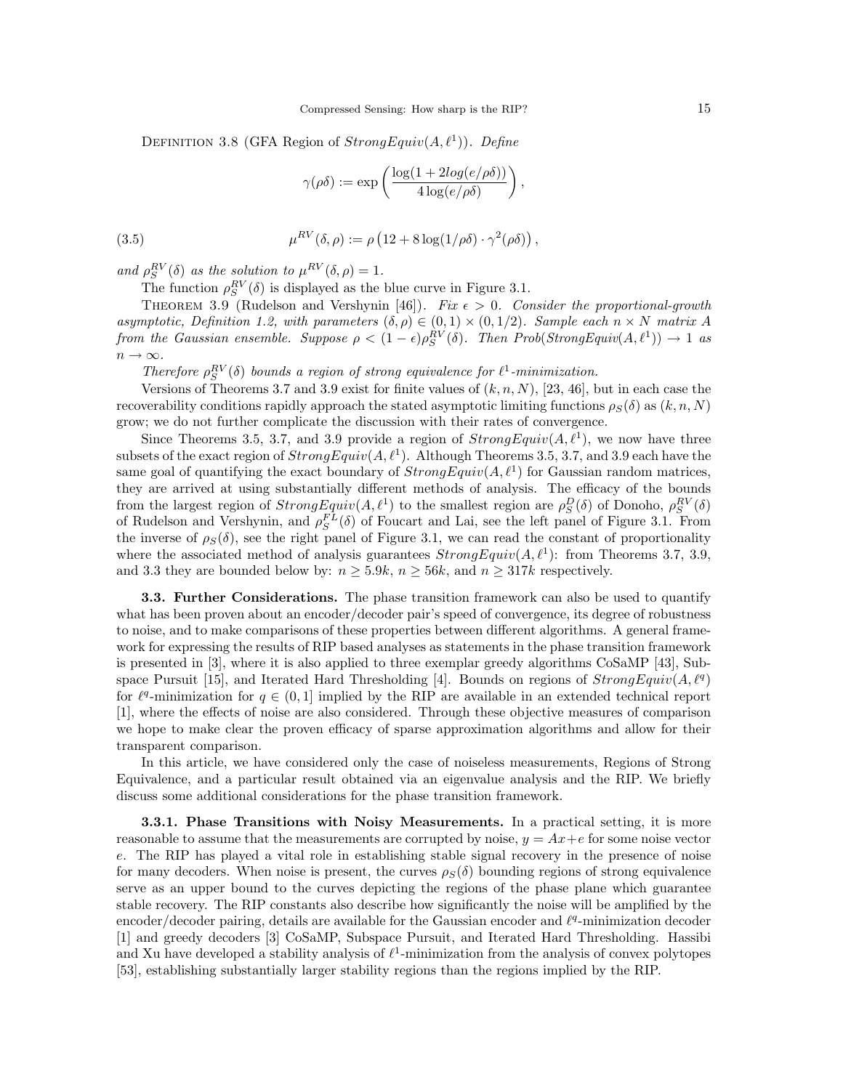DEFINITION 3.8 (GFA Region of  $StrongEquiv(A, \ell^1)$ ). Define

$$
\gamma(\rho\delta) := \exp\left(\frac{\log(1 + 2log(e/\rho\delta))}{4\log(e/\rho\delta)}\right),\,
$$

(3.5) 
$$
\mu^{RV}(\delta, \rho) := \rho \left(12 + 8\log(1/\rho\delta) \cdot \gamma^2(\rho\delta)\right),
$$

and  $\rho_S^{RV}(\delta)$  as the solution to  $\mu^{RV}(\delta, \rho) = 1$ .

The function  $\rho_S^{RV}(\delta)$  is displayed as the blue curve in Figure 3.1.

THEOREM 3.9 (Rudelson and Vershynin [46]). Fix  $\epsilon > 0$ . Consider the proportional-growth asymptotic, Definition 1.2, with parameters  $(\delta, \rho) \in (0, 1) \times (0, 1/2)$ . Sample each  $n \times N$  matrix A from the Gaussian ensemble. Suppose  $\rho < (1 - \epsilon) \rho_S^{RV}(\delta)$ . Then Prob(StrongEquiv(A, $\ell^1$ ))  $\to 1$  as  $n \to \infty$ .

Therefore  $\rho_S^{RV}(\delta)$  bounds a region of strong equivalence for  $\ell^1$ -minimization.

Versions of Theorems 3.7 and 3.9 exist for finite values of  $(k, n, N)$ , [23, 46], but in each case the recoverability conditions rapidly approach the stated asymptotic limiting functions  $\rho_S(\delta)$  as  $(k, n, N)$ grow; we do not further complicate the discussion with their rates of convergence.

Since Theorems 3.5, 3.7, and 3.9 provide a region of  $StrongEquiv(A, \ell^1)$ , we now have three subsets of the exact region of  $StrongEquiv(A, \ell^1)$ . Although Theorems 3.5, 3.7, and 3.9 each have the same goal of quantifying the exact boundary of  $StrongEquiv(A, \ell^1)$  for Gaussian random matrices, they are arrived at using substantially different methods of analysis. The efficacy of the bounds from the largest region of  $StrongEquiv(A, \ell^1)$  to the smallest region are  $\rho_S^D(\delta)$  of Donoho,  $\rho_S^{RV}(\delta)$ of Rudelson and Vershynin, and  $\rho_S^{FL}(\delta)$  of Foucart and Lai, see the left panel of Figure 3.1. From the inverse of  $\rho_S(\delta)$ , see the right panel of Figure 3.1, we can read the constant of proportionality where the associated method of analysis guarantees  $StrongEquiv(A, \ell^1)$ : from Theorems 3.7, 3.9, and 3.3 they are bounded below by:  $n \geq 5.9k$ ,  $n \geq 56k$ , and  $n \geq 317k$  respectively.

3.3. Further Considerations. The phase transition framework can also be used to quantify what has been proven about an encoder/decoder pair's speed of convergence, its degree of robustness to noise, and to make comparisons of these properties between different algorithms. A general framework for expressing the results of RIP based analyses as statements in the phase transition framework is presented in [3], where it is also applied to three exemplar greedy algorithms CoSaMP [43], Subspace Pursuit [15], and Iterated Hard Thresholding [4]. Bounds on regions of  $StrongEquiv(A, \ell^q)$ for  $\ell^q$ -minimization for  $q \in (0, 1]$  implied by the RIP are available in an extended technical report [1], where the effects of noise are also considered. Through these objective measures of comparison we hope to make clear the proven efficacy of sparse approximation algorithms and allow for their transparent comparison.

In this article, we have considered only the case of noiseless measurements, Regions of Strong Equivalence, and a particular result obtained via an eigenvalue analysis and the RIP. We briefly discuss some additional considerations for the phase transition framework.

3.3.1. Phase Transitions with Noisy Measurements. In a practical setting, it is more reasonable to assume that the measurements are corrupted by noise,  $y = Ax + e$  for some noise vector e. The RIP has played a vital role in establishing stable signal recovery in the presence of noise for many decoders. When noise is present, the curves  $\rho_S(\delta)$  bounding regions of strong equivalence serve as an upper bound to the curves depicting the regions of the phase plane which guarantee stable recovery. The RIP constants also describe how significantly the noise will be amplified by the encoder/decoder pairing, details are available for the Gaussian encoder and  $\ell^q$ -minimization decoder [1] and greedy decoders [3] CoSaMP, Subspace Pursuit, and Iterated Hard Thresholding. Hassibi and Xu have developed a stability analysis of  $\ell^1$ -minimization from the analysis of convex polytopes [53], establishing substantially larger stability regions than the regions implied by the RIP.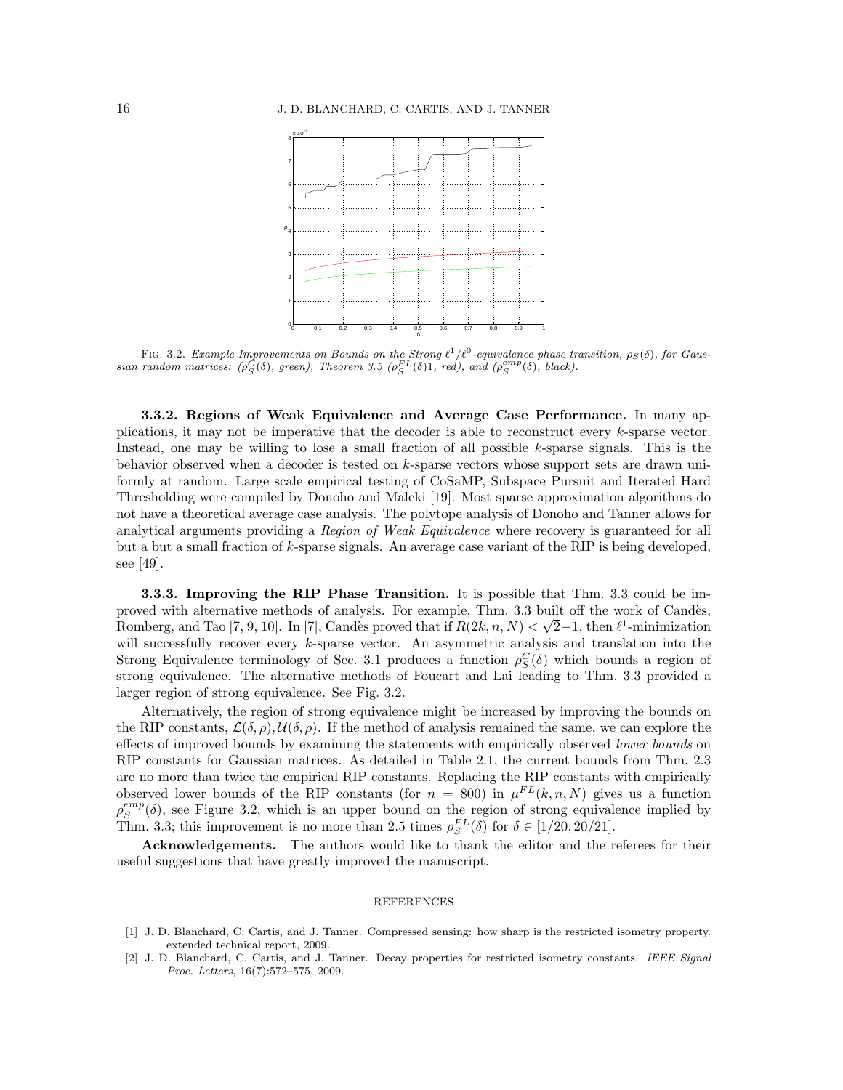

FIG. 3.2. Example Improvements on Bounds on the Strong  $\ell^1/\ell^0$ -equivalence phase transition,  $\rho_S(\delta)$ , for Gaussian random matrices:  $(\rho_S^{\tilde{C}}(\delta), \text{ green}),$  Theorem 3.5  $(\rho_S^{FL}(\delta)1, \text{ red}),$  and  $(\rho_S^{emp}(\delta), \text{ black}).$ 

3.3.2. Regions of Weak Equivalence and Average Case Performance. In many applications, it may not be imperative that the decoder is able to reconstruct every  $k$ -sparse vector. Instead, one may be willing to lose a small fraction of all possible  $k$ -sparse signals. This is the behavior observed when a decoder is tested on k-sparse vectors whose support sets are drawn uniformly at random. Large scale empirical testing of CoSaMP, Subspace Pursuit and Iterated Hard Thresholding were compiled by Donoho and Maleki [19]. Most sparse approximation algorithms do not have a theoretical average case analysis. The polytope analysis of Donoho and Tanner allows for analytical arguments providing a Region of Weak Equivalence where recovery is guaranteed for all but a but a small fraction of k-sparse signals. An average case variant of the RIP is being developed, see [49].

3.3.3. Improving the RIP Phase Transition. It is possible that Thm. 3.3 could be improved with alternative methods of analysis. For example, Thm. 3.3 built off the work of Candès, Romberg, and Tao [7, 9, 10]. In [7], Candès proved that if  $R(2k, n, N) < \sqrt{2}-1$ , then  $\ell^1$ -minimization will successfully recover every k-sparse vector. An asymmetric analysis and translation into the Strong Equivalence terminology of Sec. 3.1 produces a function  $\rho_S^C(\delta)$  which bounds a region of strong equivalence. The alternative methods of Foucart and Lai leading to Thm. 3.3 provided a larger region of strong equivalence. See Fig. 3.2.

Alternatively, the region of strong equivalence might be increased by improving the bounds on the RIP constants,  $\mathcal{L}(\delta, \rho), \mathcal{U}(\delta, \rho)$ . If the method of analysis remained the same, we can explore the effects of improved bounds by examining the statements with empirically observed *lower bounds* on RIP constants for Gaussian matrices. As detailed in Table 2.1, the current bounds from Thm. 2.3 are no more than twice the empirical RIP constants. Replacing the RIP constants with empirically observed lower bounds of the RIP constants (for  $n = 800$ ) in  $\mu^{FL}(k, n, N)$  gives us a function  $\rho_S^{emp}(\delta)$ , see Figure 3.2, which is an upper bound on the region of strong equivalence implied by Thm. 3.3; this improvement is no more than 2.5 times  $\rho_S^{FL}(\delta)$  for  $\delta \in [1/20, 20/21]$ .

Acknowledgements. The authors would like to thank the editor and the referees for their useful suggestions that have greatly improved the manuscript.

## REFERENCES

- [1] J. D. Blanchard, C. Cartis, and J. Tanner. Compressed sensing: how sharp is the restricted isometry property. extended technical report, 2009.
- [2] J. D. Blanchard, C. Cartis, and J. Tanner. Decay properties for restricted isometry constants. IEEE Signal Proc. Letters, 16(7):572–575, 2009.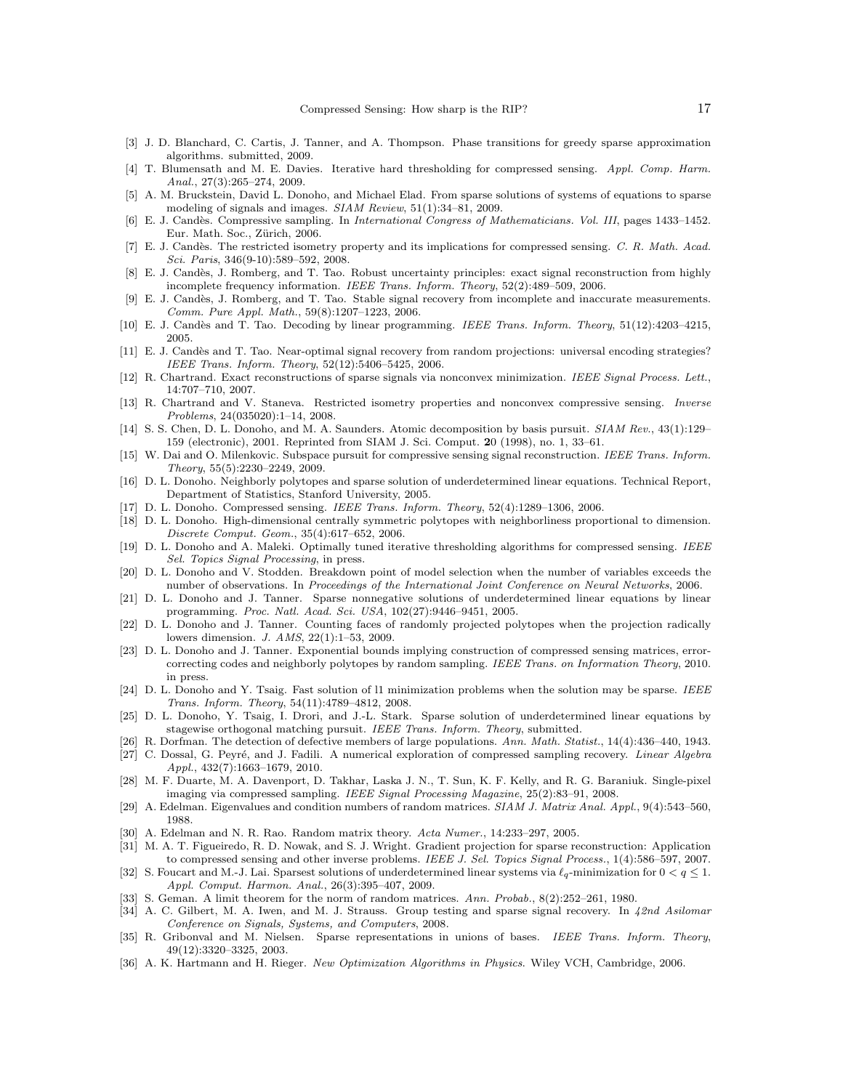- [3] J. D. Blanchard, C. Cartis, J. Tanner, and A. Thompson. Phase transitions for greedy sparse approximation algorithms. submitted, 2009.
- [4] T. Blumensath and M. E. Davies. Iterative hard thresholding for compressed sensing. Appl. Comp. Harm. Anal., 27(3):265–274, 2009.
- [5] A. M. Bruckstein, David L. Donoho, and Michael Elad. From sparse solutions of systems of equations to sparse modeling of signals and images. SIAM Review, 51(1):34–81, 2009.
- [6] E. J. Cand`es. Compressive sampling. In International Congress of Mathematicians. Vol. III, pages 1433–1452. Eur. Math. Soc., Zürich, 2006.
- [7] E. J. Candès. The restricted isometry property and its implications for compressed sensing. C. R. Math. Acad. Sci. Paris, 346(9-10):589–592, 2008.
- [8] E. J. Candès, J. Romberg, and T. Tao. Robust uncertainty principles: exact signal reconstruction from highly incomplete frequency information. IEEE Trans. Inform. Theory, 52(2):489–509, 2006.
- [9] E. J. Cand`es, J. Romberg, and T. Tao. Stable signal recovery from incomplete and inaccurate measurements. Comm. Pure Appl. Math., 59(8):1207–1223, 2006.
- [10] E. J. Candès and T. Tao. Decoding by linear programming. IEEE Trans. Inform. Theory, 51(12):4203-4215, 2005.
- [11] E. J. Candès and T. Tao. Near-optimal signal recovery from random projections: universal encoding strategies? IEEE Trans. Inform. Theory, 52(12):5406–5425, 2006.
- [12] R. Chartrand. Exact reconstructions of sparse signals via nonconvex minimization. IEEE Signal Process. Lett., 14:707–710, 2007.
- [13] R. Chartrand and V. Staneva. Restricted isometry properties and nonconvex compressive sensing. Inverse Problems, 24(035020):1–14, 2008.
- [14] S. S. Chen, D. L. Donoho, and M. A. Saunders. Atomic decomposition by basis pursuit. SIAM Rev., 43(1):129– 159 (electronic), 2001. Reprinted from SIAM J. Sci. Comput. 20 (1998), no. 1, 33–61.
- [15] W. Dai and O. Milenkovic. Subspace pursuit for compressive sensing signal reconstruction. IEEE Trans. Inform. Theory, 55(5):2230–2249, 2009.
- [16] D. L. Donoho. Neighborly polytopes and sparse solution of underdetermined linear equations. Technical Report, Department of Statistics, Stanford University, 2005.
- [17] D. L. Donoho. Compressed sensing. IEEE Trans. Inform. Theory, 52(4):1289–1306, 2006.
- [18] D. L. Donoho. High-dimensional centrally symmetric polytopes with neighborliness proportional to dimension. Discrete Comput. Geom., 35(4):617–652, 2006.
- [19] D. L. Donoho and A. Maleki. Optimally tuned iterative thresholding algorithms for compressed sensing. IEEE Sel. Topics Signal Processing, in press.
- [20] D. L. Donoho and V. Stodden. Breakdown point of model selection when the number of variables exceeds the number of observations. In Proceedings of the International Joint Conference on Neural Networks, 2006.
- [21] D. L. Donoho and J. Tanner. Sparse nonnegative solutions of underdetermined linear equations by linear programming. Proc. Natl. Acad. Sci. USA, 102(27):9446–9451, 2005.
- [22] D. L. Donoho and J. Tanner. Counting faces of randomly projected polytopes when the projection radically lowers dimension. J. AMS, 22(1):1–53, 2009.
- [23] D. L. Donoho and J. Tanner. Exponential bounds implying construction of compressed sensing matrices, errorcorrecting codes and neighborly polytopes by random sampling. IEEE Trans. on Information Theory, 2010. in press.
- [24] D. L. Donoho and Y. Tsaig. Fast solution of l1 minimization problems when the solution may be sparse. IEEE Trans. Inform. Theory, 54(11):4789–4812, 2008.
- [25] D. L. Donoho, Y. Tsaig, I. Drori, and J.-L. Stark. Sparse solution of underdetermined linear equations by stagewise orthogonal matching pursuit. IEEE Trans. Inform. Theory, submitted.
- [26] R. Dorfman. The detection of defective members of large populations. Ann. Math. Statist., 14(4):436–440, 1943. [27] C. Dossal, G. Peyré, and J. Fadili. A numerical exploration of compressed sampling recovery. Linear Algebra
- Appl., 432(7):1663–1679, 2010. [28] M. F. Duarte, M. A. Davenport, D. Takhar, Laska J. N., T. Sun, K. F. Kelly, and R. G. Baraniuk. Single-pixel
- imaging via compressed sampling. IEEE Signal Processing Magazine, 25(2):83–91, 2008.
- [29] A. Edelman. Eigenvalues and condition numbers of random matrices. SIAM J. Matrix Anal. Appl., 9(4):543–560, 1988.
- [30] A. Edelman and N. R. Rao. Random matrix theory. Acta Numer., 14:233–297, 2005.
- [31] M. A. T. Figueiredo, R. D. Nowak, and S. J. Wright. Gradient projection for sparse reconstruction: Application to compressed sensing and other inverse problems. IEEE J. Sel. Topics Signal Process., 1(4):586–597, 2007.
- [32] S. Foucart and M.-J. Lai. Sparsest solutions of underdetermined linear systems via  $\ell_q$ -minimization for  $0 < q \leq 1$ . Appl. Comput. Harmon. Anal., 26(3):395–407, 2009.
- [33] S. Geman. A limit theorem for the norm of random matrices. Ann. Probab., 8(2):252–261, 1980.
- [34] A. C. Gilbert, M. A. Iwen, and M. J. Strauss. Group testing and sparse signal recovery. In 42nd Asilomar Conference on Signals, Systems, and Computers, 2008.
- [35] R. Gribonval and M. Nielsen. Sparse representations in unions of bases. IEEE Trans. Inform. Theory, 49(12):3320–3325, 2003.
- [36] A. K. Hartmann and H. Rieger. New Optimization Algorithms in Physics. Wiley VCH, Cambridge, 2006.